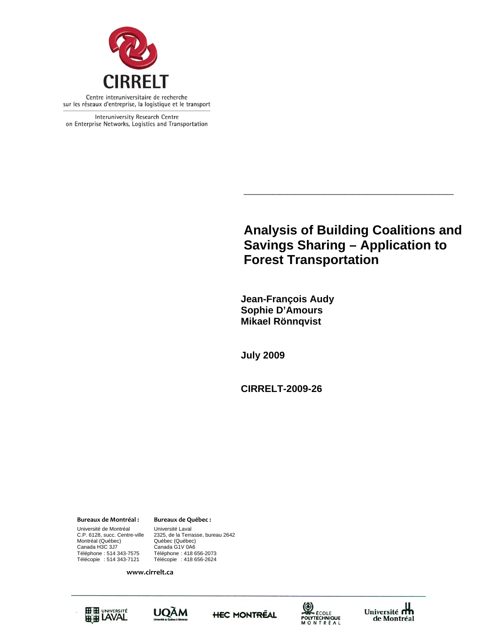

Interuniversity Research Centre on Enterprise Networks, Logistics and Transportation

# **Analysis of Building Coalitions and Savings Sharing – Application to Forest Transportation**

**\_\_\_\_\_\_\_\_\_\_\_\_\_\_\_\_\_\_\_\_\_\_\_\_\_\_\_\_\_** 

 **Jean-François Audy Sophie D'Amours Mikael Rönnqvist** 

**July 2009** 

**CIRRELT-2009-26** 

Canada H3C 3J7 Canada G1V 0A6 **Bureaux de Montréal : Bureaux de Québec :** Université de Montréal Université Laval Montréal (Québec)<br>Canada H3C 3J7 Téléphone : 514 343-7575 Téléphone : 418 656-2073 Télécopie : 514 343-7121 Télécopie : 418 656-2624

C.P. 6128, succ. Centre-ville 2325, de la Terrasse, bureau 2642

**www.cirrelt.ca**









Université du de Montréal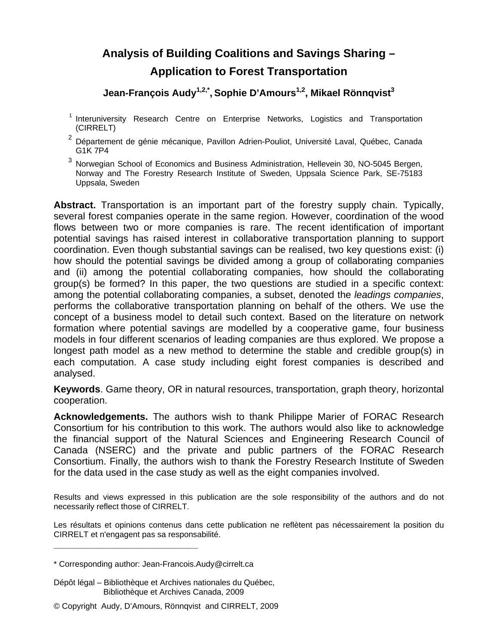# **Analysis of Building Coalitions and Savings Sharing – Application to Forest Transportation**

**Jean-François Audy1,2,\*, Sophie D'Amours1,2, Mikael Rönnqvist3**

- <sup>1</sup> Interuniversity Research Centre on Enterprise Networks, Logistics and Transportation (CIRRELT)
- <sup>2</sup> Département de génie mécanique, Pavillon Adrien-Pouliot, Université Laval, Québec, Canada G1K 7P4
- <sup>3</sup> Norwegian School of Economics and Business Administration, Hellevein 30, NO-5045 Bergen, Norway and The Forestry Research Institute of Sweden, Uppsala Science Park, SE-75183 Uppsala, Sweden

**Abstract.** Transportation is an important part of the forestry supply chain. Typically, several forest companies operate in the same region. However, coordination of the wood flows between two or more companies is rare. The recent identification of important potential savings has raised interest in collaborative transportation planning to support coordination. Even though substantial savings can be realised, two key questions exist: (i) how should the potential savings be divided among a group of collaborating companies and (ii) among the potential collaborating companies, how should the collaborating group(s) be formed? In this paper, the two questions are studied in a specific context: among the potential collaborating companies, a subset, denoted the *leadings companies*, performs the collaborative transportation planning on behalf of the others. We use the concept of a business model to detail such context. Based on the literature on network formation where potential savings are modelled by a cooperative game, four business models in four different scenarios of leading companies are thus explored. We propose a longest path model as a new method to determine the stable and credible group(s) in each computation. A case study including eight forest companies is described and analysed.

**Keywords**. Game theory, OR in natural resources, transportation, graph theory, horizontal cooperation.

**Acknowledgements.** The authors wish to thank Philippe Marier of FORAC Research Consortium for his contribution to this work. The authors would also like to acknowledge the financial support of the Natural Sciences and Engineering Research Council of Canada (NSERC) and the private and public partners of the FORAC Research Consortium. Finally, the authors wish to thank the Forestry Research Institute of Sweden for the data used in the case study as well as the eight companies involved.

Results and views expressed in this publication are the sole responsibility of the authors and do not necessarily reflect those of CIRRELT.

Les résultats et opinions contenus dans cette publication ne reflètent pas nécessairement la position du CIRRELT et n'engagent pas sa responsabilité.

**\_\_\_\_\_\_\_\_\_\_\_\_\_\_\_\_\_\_\_\_\_\_\_\_\_\_\_\_\_**

Dépôt légal – Bibliothèque et Archives nationales du Québec, Bibliothèque et Archives Canada, 2009

<sup>\*</sup> Corresponding author: Jean-Francois.Audy@cirrelt.ca

<sup>©</sup> Copyright Audy, D'Amours, Rönnqvist and CIRRELT, 2009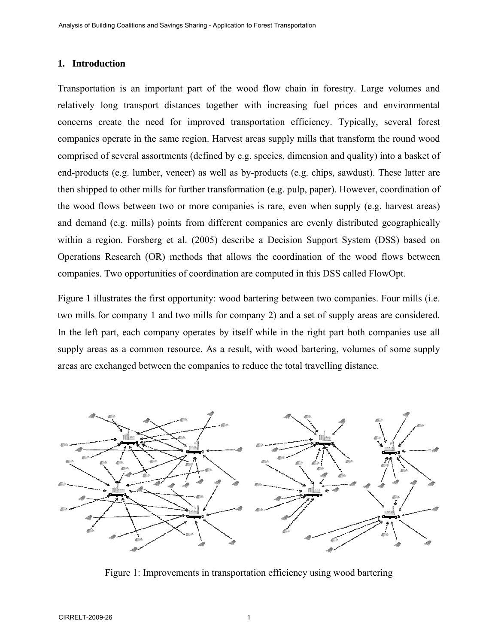# **1. Introduction**

Transportation is an important part of the wood flow chain in forestry. Large volumes and relatively long transport distances together with increasing fuel prices and environmental concerns create the need for improved transportation efficiency. Typically, several forest companies operate in the same region. Harvest areas supply mills that transform the round wood comprised of several assortments (defined by e.g. species, dimension and quality) into a basket of end-products (e.g. lumber, veneer) as well as by-products (e.g. chips, sawdust). These latter are then shipped to other mills for further transformation (e.g. pulp, paper). However, coordination of the wood flows between two or more companies is rare, even when supply (e.g. harvest areas) and demand (e.g. mills) points from different companies are evenly distributed geographically within a region. Forsberg et al. (2005) describe a Decision Support System (DSS) based on Operations Research (OR) methods that allows the coordination of the wood flows between companies. Two opportunities of coordination are computed in this DSS called FlowOpt.

Figure 1 illustrates the first opportunity: wood bartering between two companies. Four mills (i.e. two mills for company 1 and two mills for company 2) and a set of supply areas are considered. In the left part, each company operates by itself while in the right part both companies use all supply areas as a common resource. As a result, with wood bartering, volumes of some supply areas are exchanged between the companies to reduce the total travelling distance.



Figure 1: Improvements in transportation efficiency using wood bartering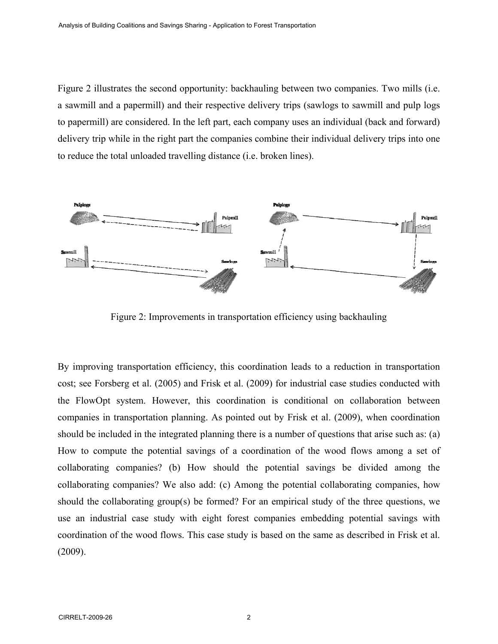Figure 2 illustrates the second opportunity: backhauling between two companies. Two mills (i.e. a sawmill and a papermill) and their respective delivery trips (sawlogs to sawmill and pulp logs to papermill) are considered. In the left part, each company uses an individual (back and forward) delivery trip while in the right part the companies combine their individual delivery trips into one to reduce the total unloaded travelling distance (i.e. broken lines).



Figure 2: Improvements in transportation efficiency using backhauling

By improving transportation efficiency, this coordination leads to a reduction in transportation cost; see Forsberg et al. (2005) and Frisk et al. (2009) for industrial case studies conducted with the FlowOpt system. However, this coordination is conditional on collaboration between companies in transportation planning. As pointed out by Frisk et al. (2009), when coordination should be included in the integrated planning there is a number of questions that arise such as: (a) How to compute the potential savings of a coordination of the wood flows among a set of collaborating companies? (b) How should the potential savings be divided among the collaborating companies? We also add: (c) Among the potential collaborating companies, how should the collaborating group(s) be formed? For an empirical study of the three questions, we use an industrial case study with eight forest companies embedding potential savings with coordination of the wood flows. This case study is based on the same as described in Frisk et al. (2009).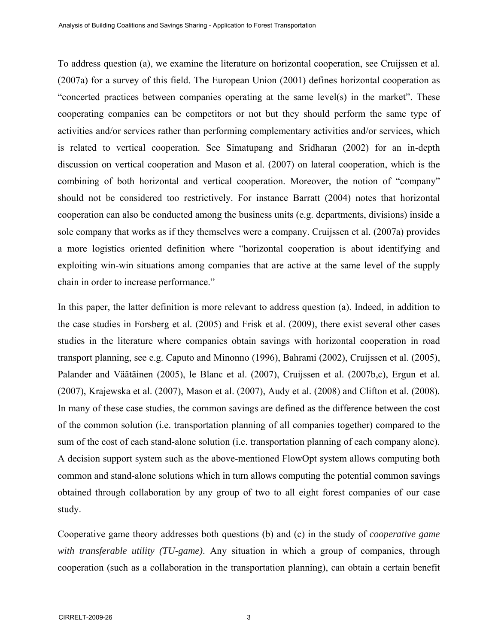To address question (a), we examine the literature on horizontal cooperation, see Cruijssen et al. (2007a) for a survey of this field. The European Union (2001) defines horizontal cooperation as "concerted practices between companies operating at the same level(s) in the market". These cooperating companies can be competitors or not but they should perform the same type of activities and/or services rather than performing complementary activities and/or services, which is related to vertical cooperation. See Simatupang and Sridharan (2002) for an in-depth discussion on vertical cooperation and Mason et al. (2007) on lateral cooperation, which is the combining of both horizontal and vertical cooperation. Moreover, the notion of "company" should not be considered too restrictively. For instance Barratt (2004) notes that horizontal cooperation can also be conducted among the business units (e.g. departments, divisions) inside a sole company that works as if they themselves were a company. Cruijssen et al. (2007a) provides a more logistics oriented definition where "horizontal cooperation is about identifying and exploiting win-win situations among companies that are active at the same level of the supply chain in order to increase performance."

In this paper, the latter definition is more relevant to address question (a). Indeed, in addition to the case studies in Forsberg et al. (2005) and Frisk et al. (2009), there exist several other cases studies in the literature where companies obtain savings with horizontal cooperation in road transport planning, see e.g. Caputo and Minonno (1996), Bahrami (2002), Cruijssen et al. (2005), Palander and Väätäinen (2005), le Blanc et al. (2007), Cruijssen et al. (2007b,c), Ergun et al. (2007), Krajewska et al. (2007), Mason et al. (2007), Audy et al. (2008) and Clifton et al. (2008). In many of these case studies, the common savings are defined as the difference between the cost of the common solution (i.e. transportation planning of all companies together) compared to the sum of the cost of each stand-alone solution (i.e. transportation planning of each company alone). A decision support system such as the above-mentioned FlowOpt system allows computing both common and stand-alone solutions which in turn allows computing the potential common savings obtained through collaboration by any group of two to all eight forest companies of our case study.

Cooperative game theory addresses both questions (b) and (c) in the study of *cooperative game with transferable utility (TU-game)*. Any situation in which a group of companies, through cooperation (such as a collaboration in the transportation planning), can obtain a certain benefit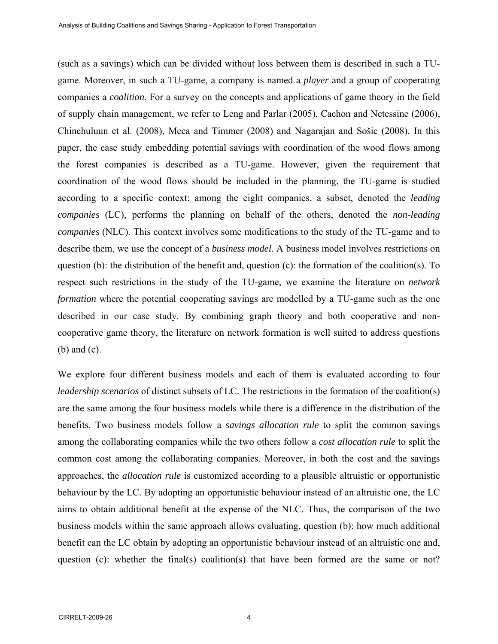(such as a savings) which can be divided without loss between them is described in such a TUgame. Moreover, in such a TU-game, a company is named a *player* and a group of cooperating companies a *coalition*. For a survey on the concepts and applications of game theory in the field of supply chain management, we refer to Leng and Parlar (2005), Cachon and Netessine (2006), Chinchuluun et al. (2008), Meca and Timmer (2008) and Nagarajan and Sošic (2008). In this paper, the case study embedding potential savings with coordination of the wood flows among the forest companies is described as a TU-game. However, given the requirement that coordination of the wood flows should be included in the planning, the TU-game is studied according to a specific context: among the eight companies, a subset, denoted the *leading companies* (LC), performs the planning on behalf of the others, denoted the *non-leading companies* (NLC). This context involves some modifications to the study of the TU-game and to describe them, we use the concept of a *business model*. A business model involves restrictions on question (b): the distribution of the benefit and, question (c): the formation of the coalition(s). To respect such restrictions in the study of the TU-game, we examine the literature on *network formation* where the potential cooperating savings are modelled by a TU-game such as the one described in our case study. By combining graph theory and both cooperative and noncooperative game theory, the literature on network formation is well suited to address questions (b) and (c).

We explore four different business models and each of them is evaluated according to four *leadership scenarios* of distinct subsets of LC. The restrictions in the formation of the coalition(s) are the same among the four business models while there is a difference in the distribution of the benefits. Two business models follow a *savings allocation rule* to split the common savings among the collaborating companies while the two others follow a *cost allocation rule* to split the common cost among the collaborating companies. Moreover, in both the cost and the savings approaches, the *allocation rule* is customized according to a plausible altruistic or opportunistic behaviour by the LC. By adopting an opportunistic behaviour instead of an altruistic one, the LC aims to obtain additional benefit at the expense of the NLC. Thus, the comparison of the two business models within the same approach allows evaluating, question (b): how much additional benefit can the LC obtain by adopting an opportunistic behaviour instead of an altruistic one and, question (c): whether the final(s) coalition(s) that have been formed are the same or not?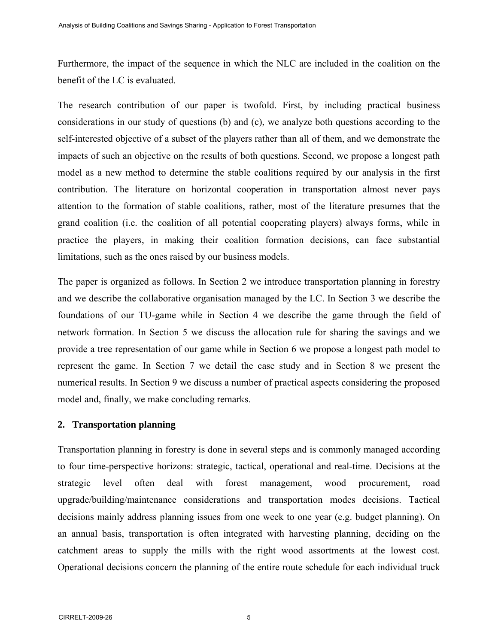Furthermore, the impact of the sequence in which the NLC are included in the coalition on the benefit of the LC is evaluated.

The research contribution of our paper is twofold. First, by including practical business considerations in our study of questions (b) and (c), we analyze both questions according to the self-interested objective of a subset of the players rather than all of them, and we demonstrate the impacts of such an objective on the results of both questions. Second, we propose a longest path model as a new method to determine the stable coalitions required by our analysis in the first contribution. The literature on horizontal cooperation in transportation almost never pays attention to the formation of stable coalitions, rather, most of the literature presumes that the grand coalition (i.e. the coalition of all potential cooperating players) always forms, while in practice the players, in making their coalition formation decisions, can face substantial limitations, such as the ones raised by our business models.

The paper is organized as follows. In Section 2 we introduce transportation planning in forestry and we describe the collaborative organisation managed by the LC. In Section 3 we describe the foundations of our TU-game while in Section 4 we describe the game through the field of network formation. In Section 5 we discuss the allocation rule for sharing the savings and we provide a tree representation of our game while in Section 6 we propose a longest path model to represent the game. In Section 7 we detail the case study and in Section 8 we present the numerical results. In Section 9 we discuss a number of practical aspects considering the proposed model and, finally, we make concluding remarks.

# **2. Transportation planning**

Transportation planning in forestry is done in several steps and is commonly managed according to four time-perspective horizons: strategic, tactical, operational and real-time. Decisions at the strategic level often deal with forest management, wood procurement, road upgrade/building/maintenance considerations and transportation modes decisions. Tactical decisions mainly address planning issues from one week to one year (e.g. budget planning). On an annual basis, transportation is often integrated with harvesting planning, deciding on the catchment areas to supply the mills with the right wood assortments at the lowest cost. Operational decisions concern the planning of the entire route schedule for each individual truck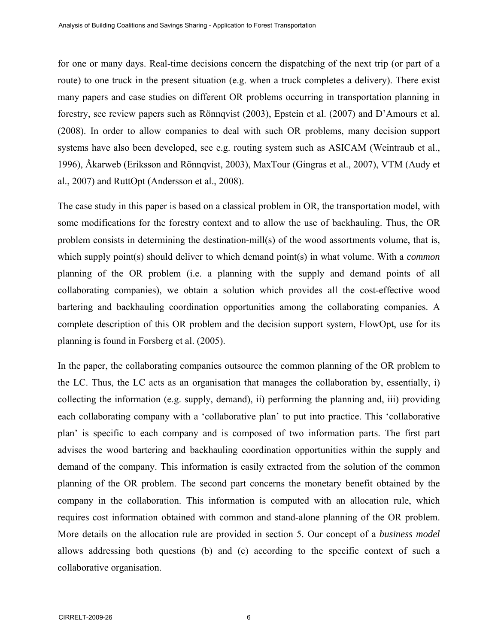for one or many days. Real-time decisions concern the dispatching of the next trip (or part of a route) to one truck in the present situation (e.g. when a truck completes a delivery). There exist many papers and case studies on different OR problems occurring in transportation planning in forestry, see review papers such as Rönnqvist (2003), Epstein et al. (2007) and D'Amours et al. (2008). In order to allow companies to deal with such OR problems, many decision support systems have also been developed, see e.g. routing system such as ASICAM (Weintraub et al., 1996), Åkarweb (Eriksson and Rönnqvist, 2003), MaxTour (Gingras et al., 2007), VTM (Audy et al., 2007) and RuttOpt (Andersson et al., 2008).

The case study in this paper is based on a classical problem in OR, the transportation model, with some modifications for the forestry context and to allow the use of backhauling. Thus, the OR problem consists in determining the destination-mill(s) of the wood assortments volume, that is, which supply point(s) should deliver to which demand point(s) in what volume. With a *common* planning of the OR problem (i.e. a planning with the supply and demand points of all collaborating companies), we obtain a solution which provides all the cost-effective wood bartering and backhauling coordination opportunities among the collaborating companies. A complete description of this OR problem and the decision support system, FlowOpt, use for its planning is found in Forsberg et al. (2005).

In the paper, the collaborating companies outsource the common planning of the OR problem to the LC. Thus, the LC acts as an organisation that manages the collaboration by, essentially, i) collecting the information (e.g. supply, demand), ii) performing the planning and, iii) providing each collaborating company with a 'collaborative plan' to put into practice. This 'collaborative plan' is specific to each company and is composed of two information parts. The first part advises the wood bartering and backhauling coordination opportunities within the supply and demand of the company. This information is easily extracted from the solution of the common planning of the OR problem. The second part concerns the monetary benefit obtained by the company in the collaboration. This information is computed with an allocation rule, which requires cost information obtained with common and stand-alone planning of the OR problem. More details on the allocation rule are provided in section 5. Our concept of a *business model* allows addressing both questions (b) and (c) according to the specific context of such a collaborative organisation.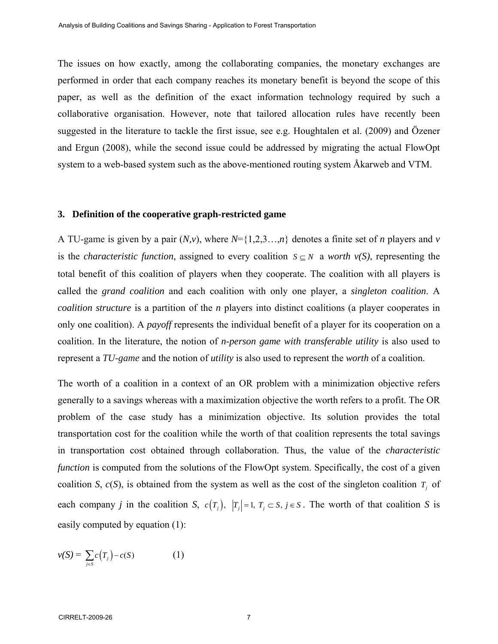The issues on how exactly, among the collaborating companies, the monetary exchanges are performed in order that each company reaches its monetary benefit is beyond the scope of this paper, as well as the definition of the exact information technology required by such a collaborative organisation. However, note that tailored allocation rules have recently been suggested in the literature to tackle the first issue, see e.g. Houghtalen et al. (2009) and Özener and Ergun (2008), while the second issue could be addressed by migrating the actual FlowOpt system to a web-based system such as the above-mentioned routing system Åkarweb and VTM.

#### **3. Definition of the cooperative graph-restricted game**

A TU-game is given by a pair (*N,v*), where *N*={1,2,3…,*n*} denotes a finite set of *n* players and *v* is the *characteristic function*, assigned to every coalition  $S \subseteq N$  a *worth*  $v(S)$ , representing the total benefit of this coalition of players when they cooperate. The coalition with all players is called the *grand coalition* and each coalition with only one player, a *singleton coalition*. A *coalition structure* is a partition of the *n* players into distinct coalitions (a player cooperates in only one coalition). A *payoff* represents the individual benefit of a player for its cooperation on a coalition. In the literature, the notion of *n-person game with transferable utility* is also used to represent a *TU-game* and the notion of *utility* is also used to represent the *worth* of a coalition.

The worth of a coalition in a context of an OR problem with a minimization objective refers generally to a savings whereas with a maximization objective the worth refers to a profit. The OR problem of the case study has a minimization objective. Its solution provides the total transportation cost for the coalition while the worth of that coalition represents the total savings in transportation cost obtained through collaboration. Thus, the value of the *characteristic function* is computed from the solutions of the FlowOpt system. Specifically, the cost of a given coalition *S*,  $c(S)$ , is obtained from the system as well as the cost of the singleton coalition  $T<sub>i</sub>$  of each company *j* in the coalition *S*,  $c(T_i)$ ,  $|T_i| = 1$ ,  $T_i \subset S$ ,  $j \in S$ . The worth of that coalition *S* is easily computed by equation (1):

$$
v(S) = \sum_{j \in S} c(T_j) - c(S) \tag{1}
$$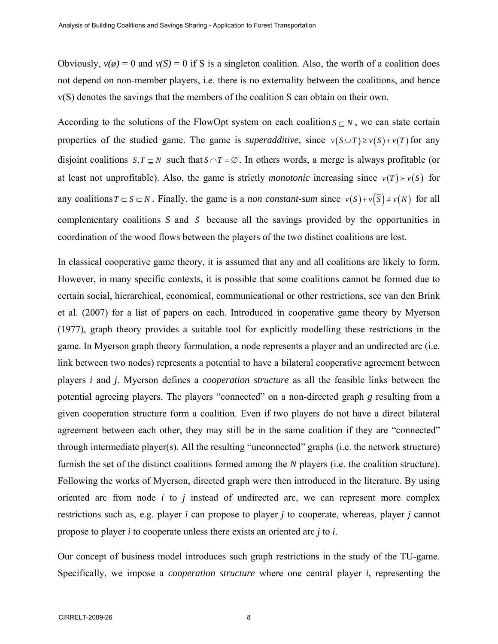Obviously,  $v(\phi) = 0$  and  $v(S) = 0$  if S is a singleton coalition. Also, the worth of a coalition does not depend on non-member players, i.e. there is no externality between the coalitions, and hence v(S) denotes the savings that the members of the coalition S can obtain on their own.

According to the solutions of the FlowOpt system on each coalition  $S \subseteq N$ , we can state certain properties of the studied game. The game is *superadditive*, since  $v(S \cup T) \ge v(S) + v(T)$  for any disjoint coalitions  $S, T \subseteq N$  such that  $S \cap T = \emptyset$ . In others words, a merge is always profitable (or at least not unprofitable). Also, the game is strictly *monotonic* increasing since  $v(T) \rightarrow v(S)$  for any coalitions  $T \subset S \subset N$ . Finally, the game is a *non constant-sum* since  $v(S) + v(\overline{S}) \neq v(N)$  for all complementary coalitions *S* and  $\overline{S}$  because all the savings provided by the opportunities in coordination of the wood flows between the players of the two distinct coalitions are lost.

In classical cooperative game theory, it is assumed that any and all coalitions are likely to form. However, in many specific contexts, it is possible that some coalitions cannot be formed due to certain social, hierarchical, economical, communicational or other restrictions, see van den Brink et al. (2007) for a list of papers on each. Introduced in cooperative game theory by Myerson (1977), graph theory provides a suitable tool for explicitly modelling these restrictions in the game. In Myerson graph theory formulation, a node represents a player and an undirected arc (i.e. link between two nodes) represents a potential to have a bilateral cooperative agreement between players *i* and *j*. Myerson defines a *cooperation structure* as all the feasible links between the potential agreeing players. The players "connected" on a non-directed graph *g* resulting from a given cooperation structure form a coalition. Even if two players do not have a direct bilateral agreement between each other, they may still be in the same coalition if they are "connected" through intermediate player(s). All the resulting "unconnected" graphs (i.e. the network structure) furnish the set of the distinct coalitions formed among the *N* players (i.e. the coalition structure). Following the works of Myerson, directed graph were then introduced in the literature. By using oriented arc from node *i* to *j* instead of undirected arc, we can represent more complex restrictions such as, e.g. player *i* can propose to player *j* to cooperate, whereas, player *j* cannot propose to player *i* to cooperate unless there exists an oriented arc *j* to *i*.

Our concept of business model introduces such graph restrictions in the study of the TU-game. Specifically, we impose a *cooperation structure* where one central player *i*, representing the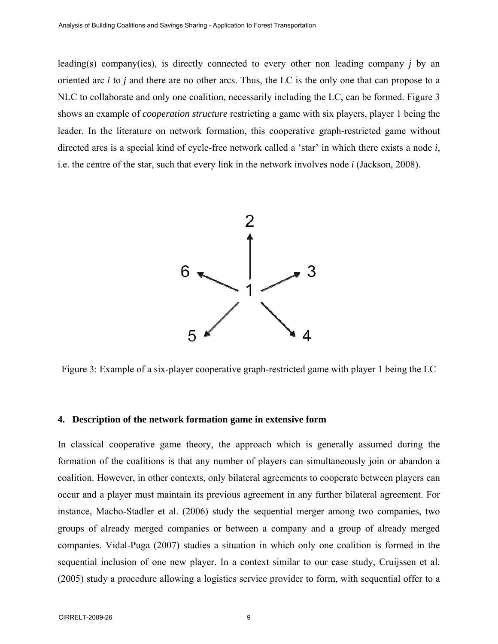leading(s) company(ies), is directly connected to every other non leading company *j* by an oriented arc *i* to *j* and there are no other arcs. Thus, the LC is the only one that can propose to a NLC to collaborate and only one coalition, necessarily including the LC, can be formed. Figure 3 shows an example of *cooperation structure* restricting a game with six players, player 1 being the leader. In the literature on network formation, this cooperative graph-restricted game without directed arcs is a special kind of cycle-free network called a 'star' in which there exists a node *i*, i.e. the centre of the star, such that every link in the network involves node *i* (Jackson, 2008).



Figure 3: Example of a six-player cooperative graph-restricted game with player 1 being the LC

#### **4. Description of the network formation game in extensive form**

In classical cooperative game theory, the approach which is generally assumed during the formation of the coalitions is that any number of players can simultaneously join or abandon a coalition. However, in other contexts, only bilateral agreements to cooperate between players can occur and a player must maintain its previous agreement in any further bilateral agreement. For instance, Macho-Stadler et al. (2006) study the sequential merger among two companies, two groups of already merged companies or between a company and a group of already merged companies. Vidal-Puga (2007) studies a situation in which only one coalition is formed in the sequential inclusion of one new player. In a context similar to our case study, Cruijssen et al. (2005) study a procedure allowing a logistics service provider to form, with sequential offer to a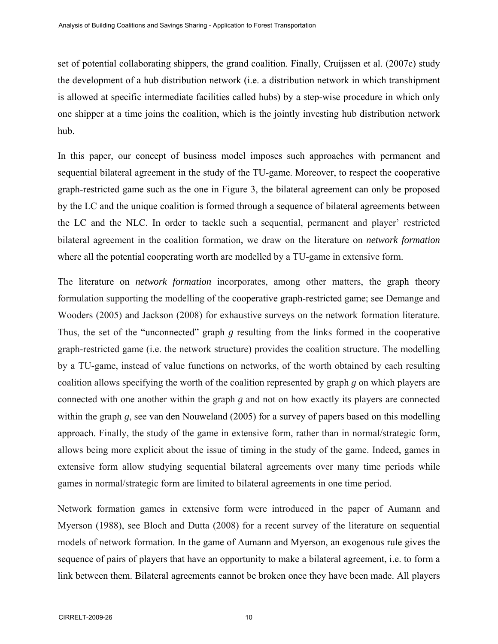set of potential collaborating shippers, the grand coalition. Finally, Cruijssen et al. (2007c) study the development of a hub distribution network (i.e. a distribution network in which transhipment is allowed at specific intermediate facilities called hubs) by a step-wise procedure in which only one shipper at a time joins the coalition, which is the jointly investing hub distribution network hub.

In this paper, our concept of business model imposes such approaches with permanent and sequential bilateral agreement in the study of the TU-game. Moreover, to respect the cooperative graph-restricted game such as the one in Figure 3, the bilateral agreement can only be proposed by the LC and the unique coalition is formed through a sequence of bilateral agreements between the LC and the NLC. In order to tackle such a sequential, permanent and player' restricted bilateral agreement in the coalition formation, we draw on the literature on *network formation* where all the potential cooperating worth are modelled by a TU-game in extensive form.

The literature on *network formation* incorporates, among other matters, the graph theory formulation supporting the modelling of the cooperative graph-restricted game; see Demange and Wooders (2005) and Jackson (2008) for exhaustive surveys on the network formation literature. Thus, the set of the "unconnected" graph *g* resulting from the links formed in the cooperative graph-restricted game (i.e. the network structure) provides the coalition structure. The modelling by a TU-game, instead of value functions on networks, of the worth obtained by each resulting coalition allows specifying the worth of the coalition represented by graph *g* on which players are connected with one another within the graph *g* and not on how exactly its players are connected within the graph *g*, see van den Nouweland (2005) for a survey of papers based on this modelling approach. Finally, the study of the game in extensive form, rather than in normal/strategic form, allows being more explicit about the issue of timing in the study of the game. Indeed, games in extensive form allow studying sequential bilateral agreements over many time periods while games in normal/strategic form are limited to bilateral agreements in one time period.

Network formation games in extensive form were introduced in the paper of Aumann and Myerson (1988), see Bloch and Dutta (2008) for a recent survey of the literature on sequential models of network formation. In the game of Aumann and Myerson, an exogenous rule gives the sequence of pairs of players that have an opportunity to make a bilateral agreement, i.e. to form a link between them. Bilateral agreements cannot be broken once they have been made. All players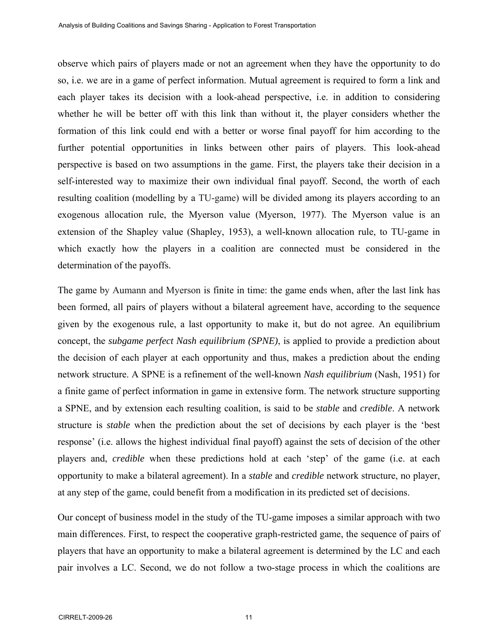observe which pairs of players made or not an agreement when they have the opportunity to do so, i.e. we are in a game of perfect information. Mutual agreement is required to form a link and each player takes its decision with a look-ahead perspective, i.e. in addition to considering whether he will be better off with this link than without it, the player considers whether the formation of this link could end with a better or worse final payoff for him according to the further potential opportunities in links between other pairs of players. This look-ahead perspective is based on two assumptions in the game. First, the players take their decision in a self-interested way to maximize their own individual final payoff. Second, the worth of each resulting coalition (modelling by a TU-game) will be divided among its players according to an exogenous allocation rule, the Myerson value (Myerson, 1977). The Myerson value is an extension of the Shapley value (Shapley, 1953), a well-known allocation rule, to TU-game in which exactly how the players in a coalition are connected must be considered in the determination of the payoffs.

The game by Aumann and Myerson is finite in time: the game ends when, after the last link has been formed, all pairs of players without a bilateral agreement have, according to the sequence given by the exogenous rule, a last opportunity to make it, but do not agree. An equilibrium concept, the *subgame perfect Nash equilibrium (SPNE)*, is applied to provide a prediction about the decision of each player at each opportunity and thus, makes a prediction about the ending network structure. A SPNE is a refinement of the well-known *Nash equilibrium* (Nash, 1951) for a finite game of perfect information in game in extensive form. The network structure supporting a SPNE, and by extension each resulting coalition, is said to be *stable* and *credible*. A network structure is *stable* when the prediction about the set of decisions by each player is the 'best response' (i.e. allows the highest individual final payoff) against the sets of decision of the other players and, *credible* when these predictions hold at each 'step' of the game (i.e. at each opportunity to make a bilateral agreement). In a *stable* and *credible* network structure, no player, at any step of the game, could benefit from a modification in its predicted set of decisions.

Our concept of business model in the study of the TU-game imposes a similar approach with two main differences. First, to respect the cooperative graph-restricted game, the sequence of pairs of players that have an opportunity to make a bilateral agreement is determined by the LC and each pair involves a LC. Second, we do not follow a two-stage process in which the coalitions are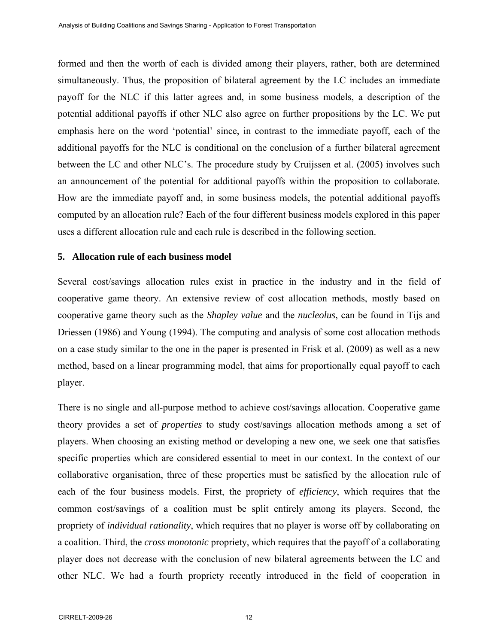formed and then the worth of each is divided among their players, rather, both are determined simultaneously. Thus, the proposition of bilateral agreement by the LC includes an immediate payoff for the NLC if this latter agrees and, in some business models, a description of the potential additional payoffs if other NLC also agree on further propositions by the LC. We put emphasis here on the word 'potential' since, in contrast to the immediate payoff, each of the additional payoffs for the NLC is conditional on the conclusion of a further bilateral agreement between the LC and other NLC's. The procedure study by Cruijssen et al. (2005) involves such an announcement of the potential for additional payoffs within the proposition to collaborate. How are the immediate payoff and, in some business models, the potential additional payoffs computed by an allocation rule? Each of the four different business models explored in this paper uses a different allocation rule and each rule is described in the following section.

#### **5. Allocation rule of each business model**

Several cost/savings allocation rules exist in practice in the industry and in the field of cooperative game theory. An extensive review of cost allocation methods, mostly based on cooperative game theory such as the *Shapley value* and the *nucleolus*, can be found in Tijs and Driessen (1986) and Young (1994). The computing and analysis of some cost allocation methods on a case study similar to the one in the paper is presented in Frisk et al. (2009) as well as a new method, based on a linear programming model, that aims for proportionally equal payoff to each player.

There is no single and all-purpose method to achieve cost/savings allocation. Cooperative game theory provides a set of *properties* to study cost/savings allocation methods among a set of players. When choosing an existing method or developing a new one, we seek one that satisfies specific properties which are considered essential to meet in our context. In the context of our collaborative organisation, three of these properties must be satisfied by the allocation rule of each of the four business models. First, the propriety of *efficiency*, which requires that the common cost/savings of a coalition must be split entirely among its players. Second, the propriety of *individual rationality*, which requires that no player is worse off by collaborating on a coalition. Third, the *cross monotonic* propriety, which requires that the payoff of a collaborating player does not decrease with the conclusion of new bilateral agreements between the LC and other NLC. We had a fourth propriety recently introduced in the field of cooperation in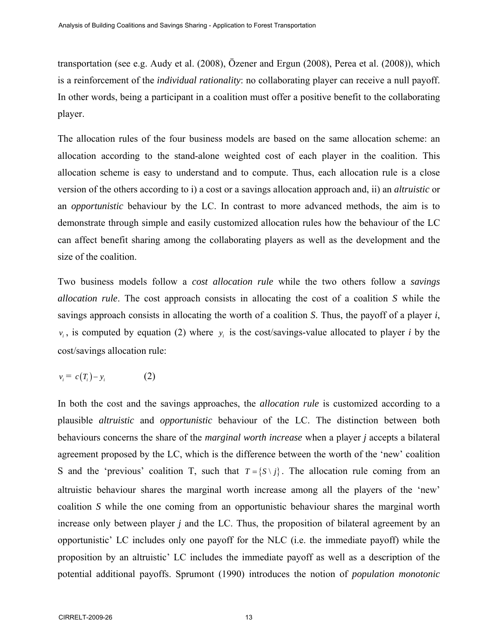transportation (see e.g. Audy et al. (2008), Özener and Ergun (2008), Perea et al. (2008)), which is a reinforcement of the *individual rationality*: no collaborating player can receive a null payoff. In other words, being a participant in a coalition must offer a positive benefit to the collaborating player.

The allocation rules of the four business models are based on the same allocation scheme: an allocation according to the stand-alone weighted cost of each player in the coalition. This allocation scheme is easy to understand and to compute. Thus, each allocation rule is a close version of the others according to i) a cost or a savings allocation approach and, ii) an *altruistic* or an *opportunistic* behaviour by the LC. In contrast to more advanced methods, the aim is to demonstrate through simple and easily customized allocation rules how the behaviour of the LC can affect benefit sharing among the collaborating players as well as the development and the size of the coalition.

Two business models follow a *cost allocation rule* while the two others follow a *savings allocation rule*. The cost approach consists in allocating the cost of a coalition *S* while the savings approach consists in allocating the worth of a coalition *S*. Thus, the payoff of a player *i*,  $v_i$ , is computed by equation (2) where  $v_i$  is the cost/savings-value allocated to player *i* by the cost/savings allocation rule:

$$
v_i = c(T_i) - y_i \tag{2}
$$

In both the cost and the savings approaches, the *allocation rule* is customized according to a plausible *altruistic* and *opportunistic* behaviour of the LC. The distinction between both behaviours concerns the share of the *marginal worth increase* when a player *j* accepts a bilateral agreement proposed by the LC, which is the difference between the worth of the 'new' coalition S and the 'previous' coalition T, such that  $T = \{ S \setminus j \}$ . The allocation rule coming from an altruistic behaviour shares the marginal worth increase among all the players of the 'new' coalition *S* while the one coming from an opportunistic behaviour shares the marginal worth increase only between player *j* and the LC. Thus, the proposition of bilateral agreement by an opportunistic' LC includes only one payoff for the NLC (i.e. the immediate payoff) while the proposition by an altruistic' LC includes the immediate payoff as well as a description of the potential additional payoffs. Sprumont (1990) introduces the notion of *population monotonic*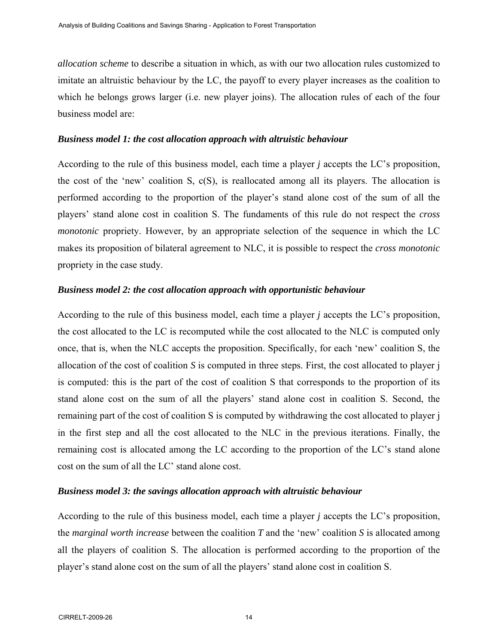*allocation scheme* to describe a situation in which, as with our two allocation rules customized to imitate an altruistic behaviour by the LC, the payoff to every player increases as the coalition to which he belongs grows larger (i.e. new player joins). The allocation rules of each of the four business model are:

# *Business model 1: the cost allocation approach with altruistic behaviour*

According to the rule of this business model, each time a player *j* accepts the LC's proposition, the cost of the 'new' coalition S, c(S), is reallocated among all its players. The allocation is performed according to the proportion of the player's stand alone cost of the sum of all the players' stand alone cost in coalition S. The fundaments of this rule do not respect the *cross monotonic* propriety. However, by an appropriate selection of the sequence in which the LC makes its proposition of bilateral agreement to NLC, it is possible to respect the *cross monotonic* propriety in the case study.

# *Business model 2: the cost allocation approach with opportunistic behaviour*

According to the rule of this business model, each time a player *j* accepts the LC's proposition, the cost allocated to the LC is recomputed while the cost allocated to the NLC is computed only once, that is, when the NLC accepts the proposition. Specifically, for each 'new' coalition S, the allocation of the cost of coalition *S* is computed in three steps. First, the cost allocated to player j is computed: this is the part of the cost of coalition S that corresponds to the proportion of its stand alone cost on the sum of all the players' stand alone cost in coalition S. Second, the remaining part of the cost of coalition S is computed by withdrawing the cost allocated to player j in the first step and all the cost allocated to the NLC in the previous iterations. Finally, the remaining cost is allocated among the LC according to the proportion of the LC's stand alone cost on the sum of all the LC' stand alone cost.

# *Business model 3: the savings allocation approach with altruistic behaviour*

According to the rule of this business model, each time a player *j* accepts the LC's proposition, the *marginal worth increase* between the coalition *T* and the 'new' coalition *S* is allocated among all the players of coalition S. The allocation is performed according to the proportion of the player's stand alone cost on the sum of all the players' stand alone cost in coalition S.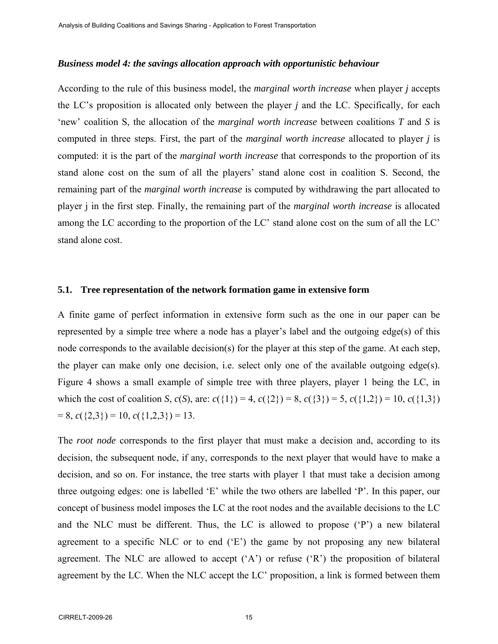#### *Business model 4: the savings allocation approach with opportunistic behaviour*

According to the rule of this business model, the *marginal worth increase* when player *j* accepts the LC's proposition is allocated only between the player *j* and the LC. Specifically, for each 'new' coalition S, the allocation of the *marginal worth increase* between coalitions *T* and *S* is computed in three steps. First, the part of the *marginal worth increase* allocated to player *j* is computed: it is the part of the *marginal worth increase* that corresponds to the proportion of its stand alone cost on the sum of all the players' stand alone cost in coalition S. Second, the remaining part of the *marginal worth increase* is computed by withdrawing the part allocated to player j in the first step. Finally, the remaining part of the *marginal worth increase* is allocated among the LC according to the proportion of the LC' stand alone cost on the sum of all the LC' stand alone cost.

#### **5.1. Tree representation of the network formation game in extensive form**

A finite game of perfect information in extensive form such as the one in our paper can be represented by a simple tree where a node has a player's label and the outgoing edge(s) of this node corresponds to the available decision(s) for the player at this step of the game. At each step, the player can make only one decision, i.e. select only one of the available outgoing edge(s). Figure 4 shows a small example of simple tree with three players, player 1 being the LC, in which the cost of coalition *S*,  $c(S)$ , are:  $c({1}) = 4$ ,  $c({2}) = 8$ ,  $c({3}) = 5$ ,  $c({1,2}) = 10$ ,  $c({1,3})$  $= 8, c({2,3}) = 10, c({1,2,3}) = 13.$ 

The *root node* corresponds to the first player that must make a decision and, according to its decision, the subsequent node, if any, corresponds to the next player that would have to make a decision, and so on. For instance, the tree starts with player 1 that must take a decision among three outgoing edges: one is labelled 'E' while the two others are labelled 'P'. In this paper, our concept of business model imposes the LC at the root nodes and the available decisions to the LC and the NLC must be different. Thus, the LC is allowed to propose ('P') a new bilateral agreement to a specific NLC or to end ('E') the game by not proposing any new bilateral agreement. The NLC are allowed to accept  $(A')$  or refuse  $(R')$  the proposition of bilateral agreement by the LC. When the NLC accept the LC' proposition, a link is formed between them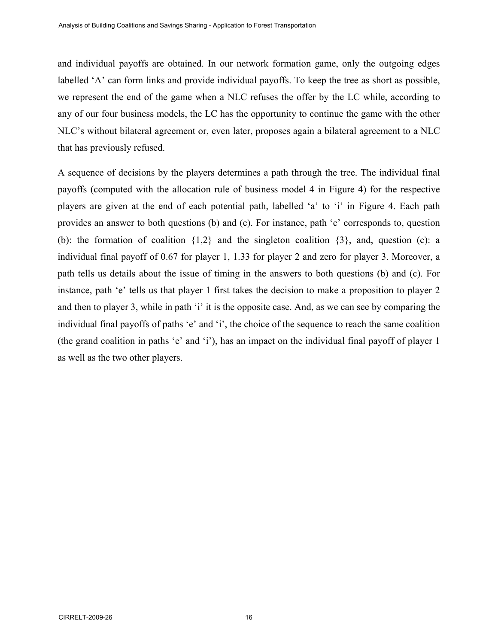and individual payoffs are obtained. In our network formation game, only the outgoing edges labelled 'A' can form links and provide individual payoffs. To keep the tree as short as possible, we represent the end of the game when a NLC refuses the offer by the LC while, according to any of our four business models, the LC has the opportunity to continue the game with the other NLC's without bilateral agreement or, even later, proposes again a bilateral agreement to a NLC that has previously refused.

A sequence of decisions by the players determines a path through the tree. The individual final payoffs (computed with the allocation rule of business model 4 in Figure 4) for the respective players are given at the end of each potential path, labelled 'a' to 'i' in Figure 4. Each path provides an answer to both questions (b) and (c). For instance, path 'c' corresponds to, question (b): the formation of coalition  $\{1,2\}$  and the singleton coalition  $\{3\}$ , and, question (c): a individual final payoff of 0.67 for player 1, 1.33 for player 2 and zero for player 3. Moreover, a path tells us details about the issue of timing in the answers to both questions (b) and (c). For instance, path 'e' tells us that player 1 first takes the decision to make a proposition to player 2 and then to player 3, while in path 'i' it is the opposite case. And, as we can see by comparing the individual final payoffs of paths 'e' and 'i', the choice of the sequence to reach the same coalition (the grand coalition in paths 'e' and 'i'), has an impact on the individual final payoff of player 1 as well as the two other players.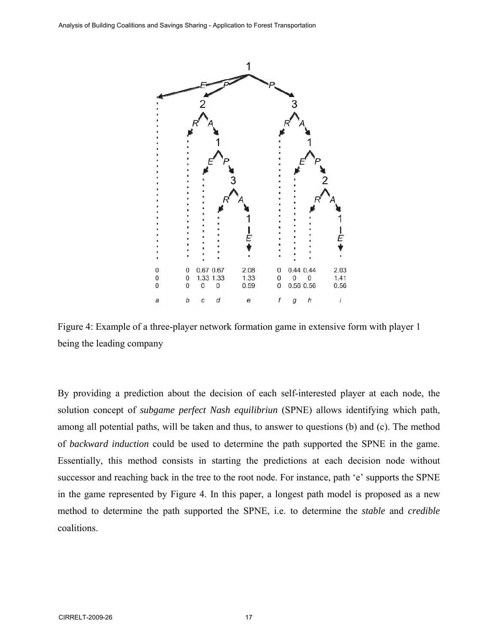

Figure 4: Example of a three-player network formation game in extensive form with player 1 being the leading company

By providing a prediction about the decision of each self-interested player at each node, the solution concept of *subgame perfect Nash equilibriun* (SPNE) allows identifying which path, among all potential paths, will be taken and thus, to answer to questions (b) and (c). The method of *backward induction* could be used to determine the path supported the SPNE in the game. Essentially, this method consists in starting the predictions at each decision node without successor and reaching back in the tree to the root node. For instance, path 'e' supports the SPNE in the game represented by Figure 4. In this paper, a longest path model is proposed as a new method to determine the path supported the SPNE, i.e. to determine the *stable* and *credible* coalitions.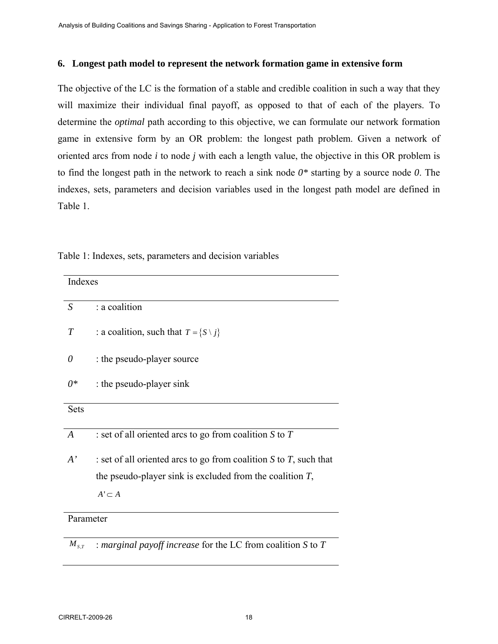## **6. Longest path model to represent the network formation game in extensive form**

The objective of the LC is the formation of a stable and credible coalition in such a way that they will maximize their individual final payoff, as opposed to that of each of the players. To determine the *optimal* path according to this objective, we can formulate our network formation game in extensive form by an OR problem: the longest path problem. Given a network of oriented arcs from node *i* to node *j* with each a length value, the objective in this OR problem is to find the longest path in the network to reach a sink node *0\** starting by a source node *0*. The indexes, sets, parameters and decision variables used in the longest path model are defined in Table 1.

| Table 1: Indexes, sets, parameters and decision variables |
|-----------------------------------------------------------|
|-----------------------------------------------------------|

| Indexes          |                                                                        |
|------------------|------------------------------------------------------------------------|
| S                | : a coalition                                                          |
| T                | : a coalition, such that $T = \{S \setminus j\}$                       |
| 0                | : the pseudo-player source                                             |
| 0*               | : the pseudo-player sink                                               |
| <b>Sets</b>      |                                                                        |
| $\boldsymbol{A}$ | : set of all oriented arcs to go from coalition $S$ to $T$             |
| $A^{\prime}$     | : set of all oriented arcs to go from coalition $S$ to $T$ , such that |
|                  | the pseudo-player sink is excluded from the coalition $T$ ,            |
|                  | $A' \subset A$                                                         |
| Parameter        |                                                                        |

 $M_{s,r}$  : *marginal payoff increase* for the LC from coalition *S* to *T*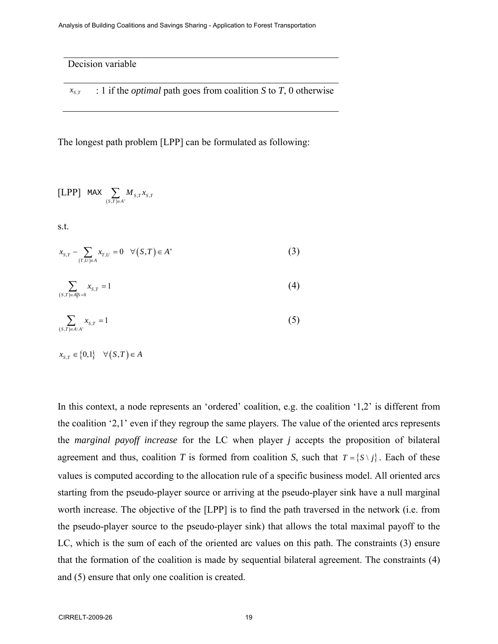Decision variable

 $x_{s,t}$  : 1 if the *optimal* path goes from coalition *S* to *T*, 0 otherwise

The longest path problem [LPP] can be formulated as following:

$$
\text{[LPP]} \quad \text{max} \sum_{(s,T) \in A'} M_{s,T} x_{s,T}
$$

s.t.

$$
x_{S,T} - \sum_{(T,U)\in A} x_{T,U} = 0 \quad \forall (S,T) \in A' \tag{3}
$$

$$
\sum_{(S,T)\in A|S=0} x_{S,T} = 1\tag{4}
$$

$$
\sum_{(S,T)\in A\setminus A'} x_{S,T} = 1\tag{5}
$$

$$
x_{S,T} \in \big\{0,1\big\} \quad \forall \big(S,T\big) \in A
$$

In this context, a node represents an 'ordered' coalition, e.g. the coalition '1,2' is different from the coalition '2,1' even if they regroup the same players. The value of the oriented arcs represents the *marginal payoff increase* for the LC when player *j* accepts the proposition of bilateral agreement and thus, coalition *T* is formed from coalition *S*, such that  $T = \{ S \setminus j \}$ . Each of these values is computed according to the allocation rule of a specific business model. All oriented arcs starting from the pseudo-player source or arriving at the pseudo-player sink have a null marginal worth increase. The objective of the [LPP] is to find the path traversed in the network (i.e. from the pseudo-player source to the pseudo-player sink) that allows the total maximal payoff to the LC, which is the sum of each of the oriented arc values on this path. The constraints (3) ensure that the formation of the coalition is made by sequential bilateral agreement. The constraints (4) and (5) ensure that only one coalition is created.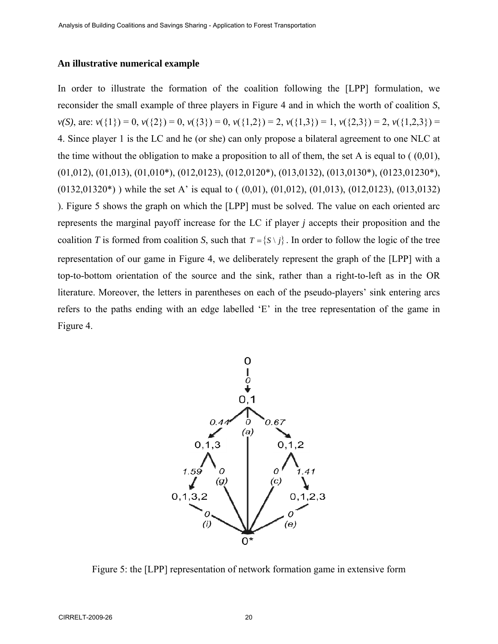# **An illustrative numerical example**

In order to illustrate the formation of the coalition following the [LPP] formulation, we reconsider the small example of three players in Figure 4 and in which the worth of coalition *S*,  $\nu(S)$ , are:  $\nu({1}) = 0$ ,  $\nu({2}) = 0$ ,  $\nu({3}) = 0$ ,  $\nu({1,2}) = 2$ ,  $\nu({1,3}) = 1$ ,  $\nu({2,3}) = 2$ ,  $\nu({1,2,3}) = 2$ 4. Since player 1 is the LC and he (or she) can only propose a bilateral agreement to one NLC at the time without the obligation to make a proposition to all of them, the set A is equal to  $(0,01)$ , (01,012), (01,013), (01,010\*), (012,0123), (012,0120\*), (013,0132), (013,0130\*), (0123,01230\*),  $(0132,01320^*)$ ) while the set A' is equal to  $( (0,01), (01,012), (01,013), (012,0123), (013,0132)$ ). Figure 5 shows the graph on which the [LPP] must be solved. The value on each oriented arc represents the marginal payoff increase for the LC if player *j* accepts their proposition and the coalition *T* is formed from coalition *S*, such that  $T = \{ S \setminus j \}$ . In order to follow the logic of the tree representation of our game in Figure 4, we deliberately represent the graph of the [LPP] with a top-to-bottom orientation of the source and the sink, rather than a right-to-left as in the OR literature. Moreover, the letters in parentheses on each of the pseudo-players' sink entering arcs refers to the paths ending with an edge labelled 'E' in the tree representation of the game in Figure 4.



Figure 5: the [LPP] representation of network formation game in extensive form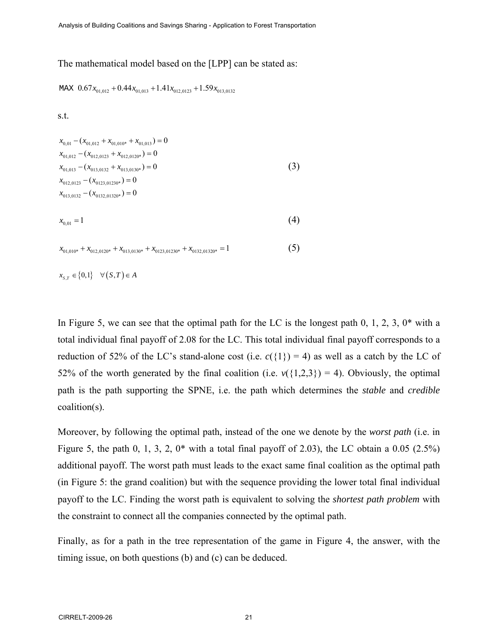#### The mathematical model based on the [LPP] can be stated as:

MAX  $0.67x_{01,012} + 0.44x_{01,013} + 1.41x_{012,0123} + 1.59x_{013,0132}$ 

s.t.

$$
x_{0,01} - (x_{01,012} + x_{01,010*} + x_{01,013}) = 0
$$
  
\n
$$
x_{01,012} - (x_{012,0123} + x_{012,0120*}) = 0
$$
  
\n
$$
x_{01,013} - (x_{013,0132} + x_{013,0130*}) = 0
$$
  
\n
$$
x_{012,0123} - (x_{0123,01230*}) = 0
$$
  
\n
$$
x_{013,0132} - (x_{0132,01320*}) = 0
$$
  
\n(3)

$$
x_{0,01} = 1 \tag{4}
$$

 $x_{01,010^*} + x_{012,0120^*} + x_{013,0130^*} + x_{0123,01230^*} + x_{0132,01320^*} = 1$  (5)

 $x_{S, T} \in \{0, 1\}$   $\forall (S, T) \in A$ 

In Figure 5, we can see that the optimal path for the LC is the longest path 0, 1, 2, 3,  $0^*$  with a total individual final payoff of 2.08 for the LC. This total individual final payoff corresponds to a reduction of 52% of the LC's stand-alone cost (i.e.  $c({1}) = 4$ ) as well as a catch by the LC of 52% of the worth generated by the final coalition (i.e.  $v({1,2,3}) = 4$ ). Obviously, the optimal path is the path supporting the SPNE, i.e. the path which determines the *stable* and *credible* coalition(s).

Moreover, by following the optimal path, instead of the one we denote by the *worst path* (i.e. in Figure 5, the path 0, 1, 3, 2,  $0^*$  with a total final payoff of 2.03), the LC obtain a 0.05 (2.5%) additional payoff. The worst path must leads to the exact same final coalition as the optimal path (in Figure 5: the grand coalition) but with the sequence providing the lower total final individual payoff to the LC. Finding the worst path is equivalent to solving the *shortest path problem* with the constraint to connect all the companies connected by the optimal path.

Finally, as for a path in the tree representation of the game in Figure 4, the answer, with the timing issue, on both questions (b) and (c) can be deduced.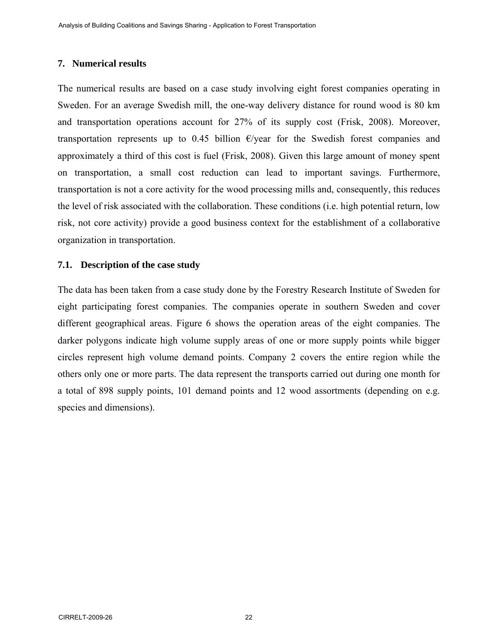## **7. Numerical results**

The numerical results are based on a case study involving eight forest companies operating in Sweden. For an average Swedish mill, the one-way delivery distance for round wood is 80 km and transportation operations account for 27% of its supply cost (Frisk, 2008). Moreover, transportation represents up to 0.45 billion  $\epsilon$ /year for the Swedish forest companies and approximately a third of this cost is fuel (Frisk, 2008). Given this large amount of money spent on transportation, a small cost reduction can lead to important savings. Furthermore, transportation is not a core activity for the wood processing mills and, consequently, this reduces the level of risk associated with the collaboration. These conditions (i.e. high potential return, low risk, not core activity) provide a good business context for the establishment of a collaborative organization in transportation.

# **7.1. Description of the case study**

The data has been taken from a case study done by the Forestry Research Institute of Sweden for eight participating forest companies. The companies operate in southern Sweden and cover different geographical areas. Figure 6 shows the operation areas of the eight companies. The darker polygons indicate high volume supply areas of one or more supply points while bigger circles represent high volume demand points. Company 2 covers the entire region while the others only one or more parts. The data represent the transports carried out during one month for a total of 898 supply points, 101 demand points and 12 wood assortments (depending on e.g. species and dimensions).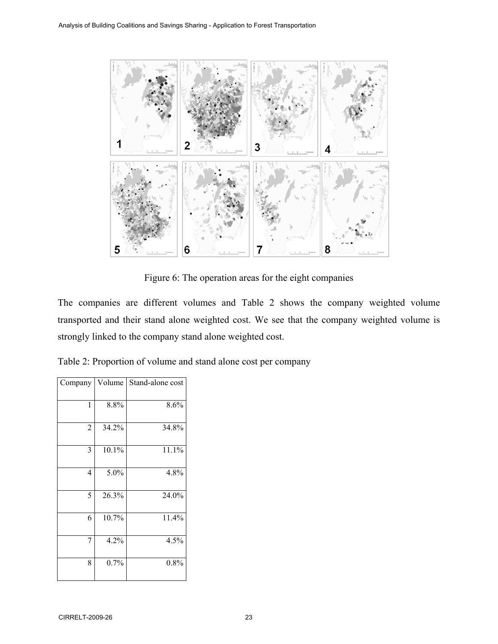

Figure 6: The operation areas for the eight companies

The companies are different volumes and Table 2 shows the company weighted volume transported and their stand alone weighted cost. We see that the company weighted volume is strongly linked to the company stand alone weighted cost.

| Table 2: Proportion of volume and stand alone cost per company |  |  |  |
|----------------------------------------------------------------|--|--|--|
|----------------------------------------------------------------|--|--|--|

| Company        |       | Volume   Stand-alone cost |
|----------------|-------|---------------------------|
| 1              | 8.8%  | 8.6%                      |
| $\overline{2}$ | 34.2% | 34.8%                     |
| 3              | 10.1% | 11.1%                     |
| 4              | 5.0%  | 4.8%                      |
| 5              | 26.3% | 24.0%                     |
| 6              | 10.7% | 11.4%                     |
| 7              | 4.2%  | 4.5%                      |
| 8              | 0.7%  | 0.8%                      |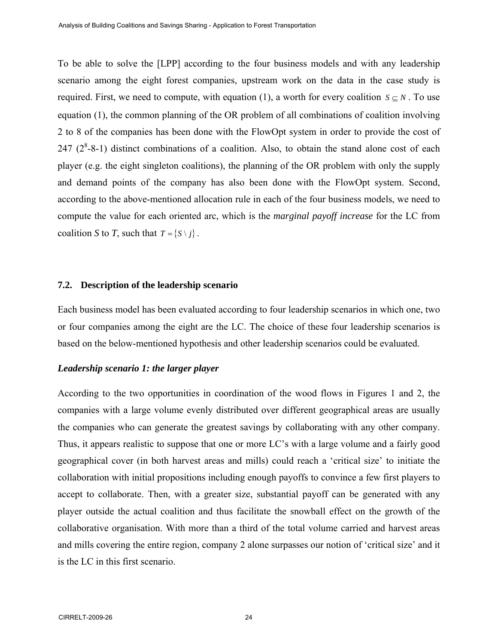To be able to solve the [LPP] according to the four business models and with any leadership scenario among the eight forest companies, upstream work on the data in the case study is required. First, we need to compute, with equation (1), a worth for every coalition  $S \subseteq N$ . To use equation (1), the common planning of the OR problem of all combinations of coalition involving 2 to 8 of the companies has been done with the FlowOpt system in order to provide the cost of  $247$  ( $2^8$ -8-1) distinct combinations of a coalition. Also, to obtain the stand alone cost of each player (e.g. the eight singleton coalitions), the planning of the OR problem with only the supply and demand points of the company has also been done with the FlowOpt system. Second, according to the above-mentioned allocation rule in each of the four business models, we need to compute the value for each oriented arc, which is the *marginal payoff increase* for the LC from coalition *S* to *T*, such that  $T = \{ S \setminus i \}$ .

#### **7.2. Description of the leadership scenario**

Each business model has been evaluated according to four leadership scenarios in which one, two or four companies among the eight are the LC. The choice of these four leadership scenarios is based on the below-mentioned hypothesis and other leadership scenarios could be evaluated.

#### *Leadership scenario 1: the larger player*

According to the two opportunities in coordination of the wood flows in Figures 1 and 2, the companies with a large volume evenly distributed over different geographical areas are usually the companies who can generate the greatest savings by collaborating with any other company. Thus, it appears realistic to suppose that one or more LC's with a large volume and a fairly good geographical cover (in both harvest areas and mills) could reach a 'critical size' to initiate the collaboration with initial propositions including enough payoffs to convince a few first players to accept to collaborate. Then, with a greater size, substantial payoff can be generated with any player outside the actual coalition and thus facilitate the snowball effect on the growth of the collaborative organisation. With more than a third of the total volume carried and harvest areas and mills covering the entire region, company 2 alone surpasses our notion of 'critical size' and it is the LC in this first scenario.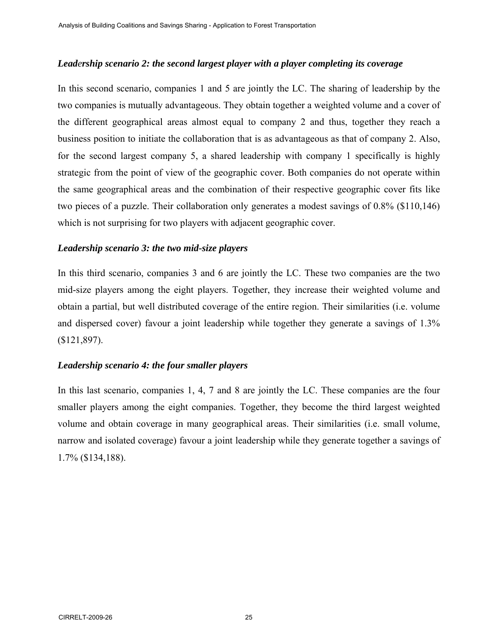#### *Leadership scenario 2: the second largest player with a player completing its coverage*

In this second scenario, companies 1 and 5 are jointly the LC. The sharing of leadership by the two companies is mutually advantageous. They obtain together a weighted volume and a cover of the different geographical areas almost equal to company 2 and thus, together they reach a business position to initiate the collaboration that is as advantageous as that of company 2. Also, for the second largest company 5, a shared leadership with company 1 specifically is highly strategic from the point of view of the geographic cover. Both companies do not operate within the same geographical areas and the combination of their respective geographic cover fits like two pieces of a puzzle. Their collaboration only generates a modest savings of 0.8% (\$110,146) which is not surprising for two players with adjacent geographic cover.

#### *Leadership scenario 3: the two mid-size players*

In this third scenario, companies 3 and 6 are jointly the LC. These two companies are the two mid-size players among the eight players. Together, they increase their weighted volume and obtain a partial, but well distributed coverage of the entire region. Their similarities (i.e. volume and dispersed cover) favour a joint leadership while together they generate a savings of 1.3% (\$121,897).

# *Leadership scenario 4: the four smaller players*

In this last scenario, companies 1, 4, 7 and 8 are jointly the LC. These companies are the four smaller players among the eight companies. Together, they become the third largest weighted volume and obtain coverage in many geographical areas. Their similarities (i.e. small volume, narrow and isolated coverage) favour a joint leadership while they generate together a savings of 1.7% (\$134,188).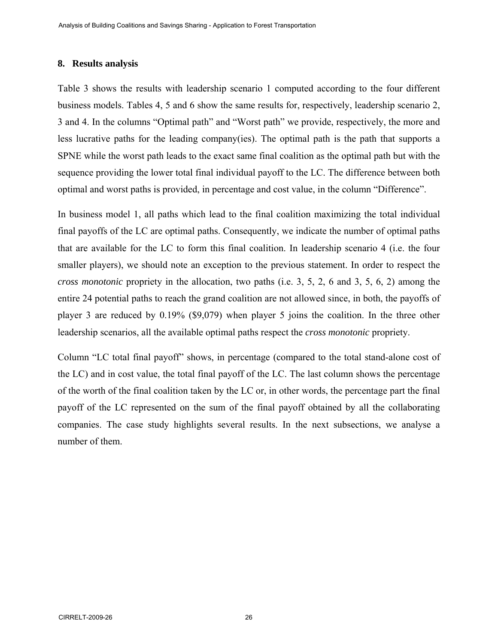### **8. Results analysis**

Table 3 shows the results with leadership scenario 1 computed according to the four different business models. Tables 4, 5 and 6 show the same results for, respectively, leadership scenario 2, 3 and 4. In the columns "Optimal path" and "Worst path" we provide, respectively, the more and less lucrative paths for the leading company(ies). The optimal path is the path that supports a SPNE while the worst path leads to the exact same final coalition as the optimal path but with the sequence providing the lower total final individual payoff to the LC. The difference between both optimal and worst paths is provided, in percentage and cost value, in the column "Difference".

In business model 1, all paths which lead to the final coalition maximizing the total individual final payoffs of the LC are optimal paths. Consequently, we indicate the number of optimal paths that are available for the LC to form this final coalition. In leadership scenario 4 (i.e. the four smaller players), we should note an exception to the previous statement. In order to respect the *cross monotonic* propriety in the allocation, two paths (i.e. 3, 5, 2, 6 and 3, 5, 6, 2) among the entire 24 potential paths to reach the grand coalition are not allowed since, in both, the payoffs of player 3 are reduced by 0.19% (\$9,079) when player 5 joins the coalition. In the three other leadership scenarios, all the available optimal paths respect the *cross monotonic* propriety.

Column "LC total final payoff" shows, in percentage (compared to the total stand-alone cost of the LC) and in cost value, the total final payoff of the LC. The last column shows the percentage of the worth of the final coalition taken by the LC or, in other words, the percentage part the final payoff of the LC represented on the sum of the final payoff obtained by all the collaborating companies. The case study highlights several results. In the next subsections, we analyse a number of them.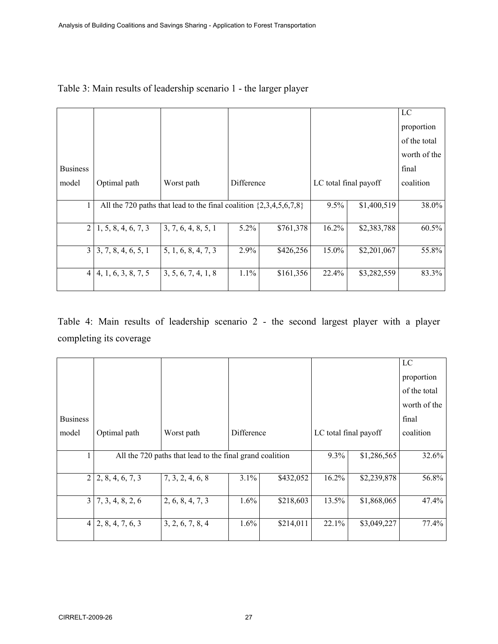|                 |                     |                                                                        |            |           |          |                       | LC           |
|-----------------|---------------------|------------------------------------------------------------------------|------------|-----------|----------|-----------------------|--------------|
|                 |                     |                                                                        |            |           |          |                       | proportion   |
|                 |                     |                                                                        |            |           |          |                       | of the total |
|                 |                     |                                                                        |            |           |          |                       | worth of the |
| <b>Business</b> |                     |                                                                        |            |           |          |                       | final        |
| model           | Optimal path        | Worst path                                                             | Difference |           |          | LC total final payoff | coalition    |
|                 |                     |                                                                        |            |           |          |                       |              |
| $\mathbf{1}$    |                     | All the 720 paths that lead to the final coalition $\{2,3,4,5,6,7,8\}$ |            |           | $9.5\%$  | \$1,400,519           | 38.0%        |
|                 |                     |                                                                        |            |           |          |                       |              |
| $\overline{2}$  | 1, 5, 8, 4, 6, 7, 3 | 3, 7, 6, 4, 8, 5, 1                                                    | $5.2\%$    | \$761,378 | 16.2%    | \$2,383,788           | 60.5%        |
| $\overline{3}$  | 3, 7, 8, 4, 6, 5, 1 | 5, 1, 6, 8, 4, 7, 3                                                    | 2.9%       | \$426,256 | $15.0\%$ | \$2,201,067           | 55.8%        |
|                 |                     |                                                                        |            |           |          |                       |              |
| $\overline{4}$  | 4, 1, 6, 3, 8, 7, 5 | 3, 5, 6, 7, 4, 1, 8                                                    | 1.1%       | \$161,356 | 22.4%    | \$3,282,559           | 83.3%        |
|                 |                     |                                                                        |            |           |          |                       |              |

# Table 3: Main results of leadership scenario 1 - the larger player

Table 4: Main results of leadership scenario 2 - the second largest player with a player completing its coverage

|                 |                           |                                                          |            |           |                       |             | LC           |
|-----------------|---------------------------|----------------------------------------------------------|------------|-----------|-----------------------|-------------|--------------|
|                 |                           |                                                          |            |           |                       |             | proportion   |
|                 |                           |                                                          |            |           |                       |             | of the total |
|                 |                           |                                                          |            |           |                       |             | worth of the |
| <b>Business</b> |                           |                                                          |            |           |                       |             | final        |
| model           | Optimal path              | Worst path                                               | Difference |           | LC total final payoff |             | coalition    |
|                 |                           |                                                          |            |           |                       |             |              |
| $\mathbf{1}$    |                           | All the 720 paths that lead to the final grand coalition |            |           | $9.3\%$               | \$1,286,565 | 32.6%        |
|                 |                           |                                                          |            |           |                       |             |              |
|                 | $2 \mid 2, 8, 4, 6, 7, 3$ | 7, 3, 2, 4, 6, 8                                         | 3.1%       | \$432,052 | 16.2%                 | \$2,239,878 | 56.8%        |
|                 |                           |                                                          |            |           |                       |             |              |
| $\overline{3}$  | 7, 3, 4, 8, 2, 6          | 2, 6, 8, 4, 7, 3                                         | $1.6\%$    | \$218,603 | 13.5%                 | \$1,868,065 | 47.4%        |
|                 |                           |                                                          |            |           |                       |             |              |
|                 | $4 \mid 2, 8, 4, 7, 6, 3$ | 3, 2, 6, 7, 8, 4                                         | 1.6%       | \$214,011 | 22.1%                 | \$3,049,227 | 77.4%        |
|                 |                           |                                                          |            |           |                       |             |              |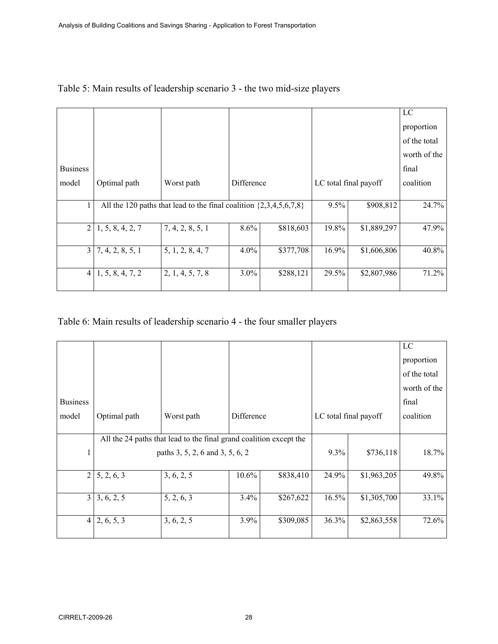|                 |                  |                                                                        |            |           |                       |             | LC           |
|-----------------|------------------|------------------------------------------------------------------------|------------|-----------|-----------------------|-------------|--------------|
|                 |                  |                                                                        |            |           |                       |             | proportion   |
|                 |                  |                                                                        |            |           |                       |             | of the total |
|                 |                  |                                                                        |            |           |                       |             | worth of the |
| <b>Business</b> |                  |                                                                        |            |           |                       |             | final        |
| model           | Optimal path     | Worst path                                                             | Difference |           | LC total final payoff |             | coalition    |
|                 |                  |                                                                        |            |           |                       |             |              |
| 1               |                  | All the 120 paths that lead to the final coalition $\{2,3,4,5,6,7,8\}$ |            | 9.5%      | \$908,812             | 24.7%       |              |
| $\overline{2}$  | 1, 5, 8, 4, 2, 7 | 7, 4, 2, 8, 5, 1                                                       | 8.6%       | \$818,603 | 19.8%                 | \$1,889,297 | 47.9%        |
| 3 <sup>1</sup>  | 7, 4, 2, 8, 5, 1 | 5, 1, 2, 8, 4, 7                                                       | $4.0\%$    | \$377,708 | $16.9\%$              | \$1,606,806 | 40.8%        |
| $\overline{4}$  | 1, 5, 8, 4, 7, 2 | 2, 1, 4, 5, 7, 8                                                       | $3.0\%$    | \$288,121 | 29.5%                 | \$2,807,986 | 71.2%        |

# Table 5: Main results of leadership scenario 3 - the two mid-size players

# Table 6: Main results of leadership scenario 4 - the four smaller players

|                 |                                                                    |                                 |            |           |                       |             | $_{\rm LC}$  |
|-----------------|--------------------------------------------------------------------|---------------------------------|------------|-----------|-----------------------|-------------|--------------|
|                 |                                                                    |                                 |            |           |                       |             | proportion   |
|                 |                                                                    |                                 |            |           |                       |             | of the total |
|                 |                                                                    |                                 |            |           |                       |             | worth of the |
| <b>Business</b> |                                                                    |                                 |            |           |                       |             | final        |
| model           | Optimal path                                                       | Worst path                      | Difference |           | LC total final payoff |             | coalition    |
|                 |                                                                    |                                 |            |           |                       |             |              |
|                 | All the 24 paths that lead to the final grand coalition except the |                                 |            |           |                       |             |              |
|                 |                                                                    | paths 3, 5, 2, 6 and 3, 5, 6, 2 |            | 9.3%      | \$736,118             | 18.7%       |              |
|                 |                                                                    |                                 |            |           |                       |             |              |
| $\overline{2}$  | 5, 2, 6, 3                                                         | 3, 6, 2, 5                      | 10.6%      | \$838,410 | 24.9%                 | \$1,963,205 | 49.8%        |
|                 |                                                                    |                                 |            |           |                       |             |              |
|                 | $3 \mid 3, 6, 2, 5$                                                | 5, 2, 6, 3                      | 3.4%       | \$267,622 | 16.5%                 | \$1,305,700 | 33.1%        |
|                 |                                                                    |                                 |            |           |                       |             |              |
| $\overline{4}$  | 2, 6, 5, 3                                                         | 3, 6, 2, 5                      | 3.9%       | \$309,085 | 36.3%                 | \$2,863,558 | 72.6%        |
|                 |                                                                    |                                 |            |           |                       |             |              |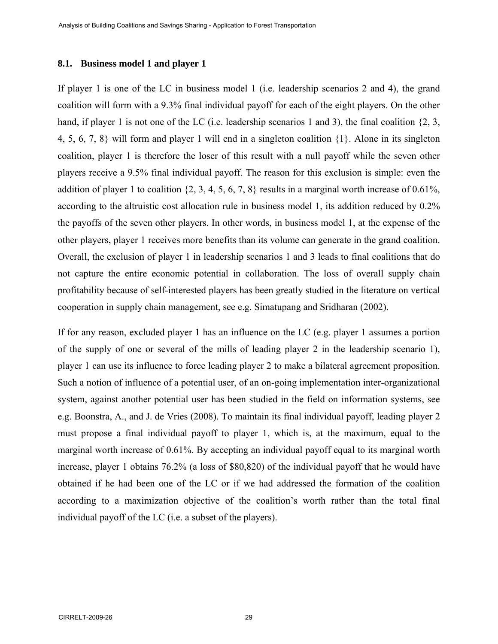#### **8.1. Business model 1 and player 1**

If player 1 is one of the LC in business model 1 (i.e. leadership scenarios 2 and 4), the grand coalition will form with a 9.3% final individual payoff for each of the eight players. On the other hand, if player 1 is not one of the LC (i.e. leadership scenarios 1 and 3), the final coalition  $\{2, 3, \}$ 4, 5, 6, 7, 8} will form and player 1 will end in a singleton coalition {1}. Alone in its singleton coalition, player 1 is therefore the loser of this result with a null payoff while the seven other players receive a 9.5% final individual payoff. The reason for this exclusion is simple: even the addition of player 1 to coalition  $\{2, 3, 4, 5, 6, 7, 8\}$  results in a marginal worth increase of 0.61%, according to the altruistic cost allocation rule in business model 1, its addition reduced by 0.2% the payoffs of the seven other players. In other words, in business model 1, at the expense of the other players, player 1 receives more benefits than its volume can generate in the grand coalition. Overall, the exclusion of player 1 in leadership scenarios 1 and 3 leads to final coalitions that do not capture the entire economic potential in collaboration. The loss of overall supply chain profitability because of self-interested players has been greatly studied in the literature on vertical cooperation in supply chain management, see e.g. Simatupang and Sridharan (2002).

If for any reason, excluded player 1 has an influence on the LC (e.g. player 1 assumes a portion of the supply of one or several of the mills of leading player 2 in the leadership scenario 1), player 1 can use its influence to force leading player 2 to make a bilateral agreement proposition. Such a notion of influence of a potential user, of an on-going implementation inter-organizational system, against another potential user has been studied in the field on information systems, see e.g. Boonstra, A., and J. de Vries (2008). To maintain its final individual payoff, leading player 2 must propose a final individual payoff to player 1, which is, at the maximum, equal to the marginal worth increase of 0.61%. By accepting an individual payoff equal to its marginal worth increase, player 1 obtains 76.2% (a loss of \$80,820) of the individual payoff that he would have obtained if he had been one of the LC or if we had addressed the formation of the coalition according to a maximization objective of the coalition's worth rather than the total final individual payoff of the LC (i.e. a subset of the players).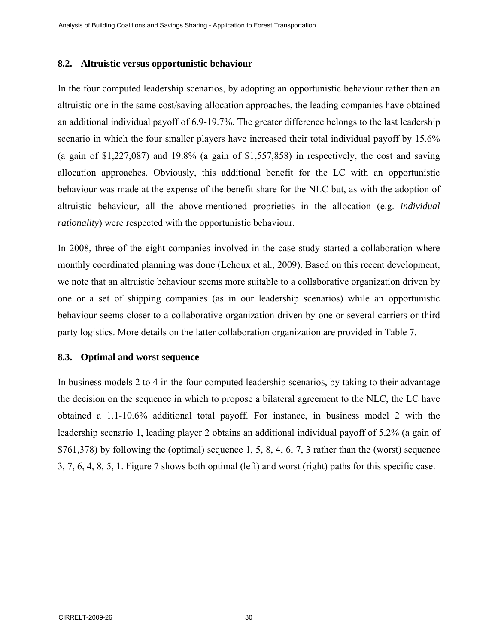#### **8.2. Altruistic versus opportunistic behaviour**

In the four computed leadership scenarios, by adopting an opportunistic behaviour rather than an altruistic one in the same cost/saving allocation approaches, the leading companies have obtained an additional individual payoff of 6.9-19.7%. The greater difference belongs to the last leadership scenario in which the four smaller players have increased their total individual payoff by 15.6% (a gain of \$1,227,087) and 19.8% (a gain of \$1,557,858) in respectively, the cost and saving allocation approaches. Obviously, this additional benefit for the LC with an opportunistic behaviour was made at the expense of the benefit share for the NLC but, as with the adoption of altruistic behaviour, all the above-mentioned proprieties in the allocation (e.g. *individual rationality*) were respected with the opportunistic behaviour.

In 2008, three of the eight companies involved in the case study started a collaboration where monthly coordinated planning was done (Lehoux et al., 2009). Based on this recent development, we note that an altruistic behaviour seems more suitable to a collaborative organization driven by one or a set of shipping companies (as in our leadership scenarios) while an opportunistic behaviour seems closer to a collaborative organization driven by one or several carriers or third party logistics. More details on the latter collaboration organization are provided in Table 7.

# **8.3. Optimal and worst sequence**

In business models 2 to 4 in the four computed leadership scenarios, by taking to their advantage the decision on the sequence in which to propose a bilateral agreement to the NLC, the LC have obtained a 1.1-10.6% additional total payoff. For instance, in business model 2 with the leadership scenario 1, leading player 2 obtains an additional individual payoff of 5.2% (a gain of  $$761,378)$  by following the (optimal) sequence 1, 5, 8, 4, 6, 7, 3 rather than the (worst) sequence 3, 7, 6, 4, 8, 5, 1. Figure 7 shows both optimal (left) and worst (right) paths for this specific case.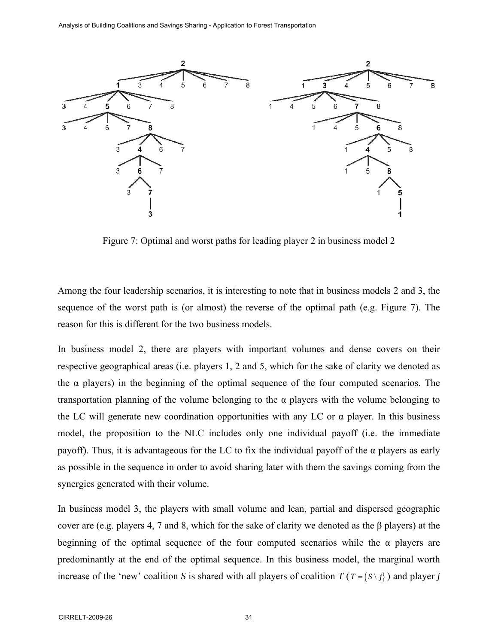

Figure 7: Optimal and worst paths for leading player 2 in business model 2

Among the four leadership scenarios, it is interesting to note that in business models 2 and 3, the sequence of the worst path is (or almost) the reverse of the optimal path (e.g. Figure 7). The reason for this is different for the two business models.

In business model 2, there are players with important volumes and dense covers on their respective geographical areas (i.e. players 1, 2 and 5, which for the sake of clarity we denoted as the  $\alpha$  players) in the beginning of the optimal sequence of the four computed scenarios. The transportation planning of the volume belonging to the  $\alpha$  players with the volume belonging to the LC will generate new coordination opportunities with any LC or  $\alpha$  player. In this business model, the proposition to the NLC includes only one individual payoff (i.e. the immediate payoff). Thus, it is advantageous for the LC to fix the individual payoff of the  $\alpha$  players as early as possible in the sequence in order to avoid sharing later with them the savings coming from the synergies generated with their volume.

In business model 3, the players with small volume and lean, partial and dispersed geographic cover are (e.g. players 4, 7 and 8, which for the sake of clarity we denoted as the β players) at the beginning of the optimal sequence of the four computed scenarios while the  $\alpha$  players are predominantly at the end of the optimal sequence. In this business model, the marginal worth increase of the 'new' coalition *S* is shared with all players of coalition  $T(T = \{S \setminus j\})$  and player *j*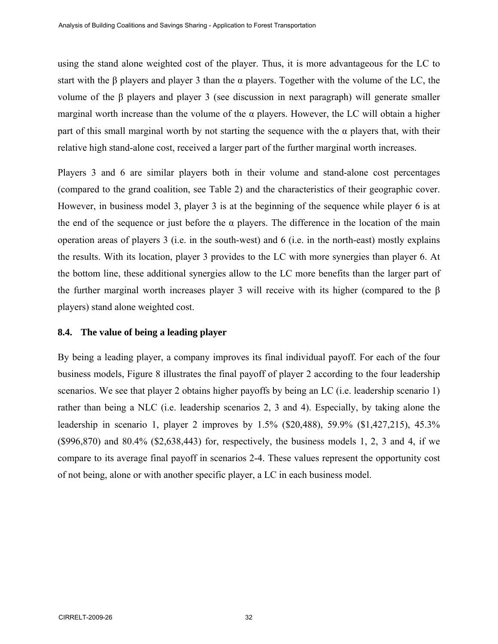using the stand alone weighted cost of the player. Thus, it is more advantageous for the LC to start with the  $\beta$  players and player 3 than the  $\alpha$  players. Together with the volume of the LC, the volume of the β players and player 3 (see discussion in next paragraph) will generate smaller marginal worth increase than the volume of the  $\alpha$  players. However, the LC will obtain a higher part of this small marginal worth by not starting the sequence with the  $\alpha$  players that, with their relative high stand-alone cost, received a larger part of the further marginal worth increases.

Players 3 and 6 are similar players both in their volume and stand-alone cost percentages (compared to the grand coalition, see Table 2) and the characteristics of their geographic cover. However, in business model 3, player 3 is at the beginning of the sequence while player 6 is at the end of the sequence or just before the  $\alpha$  players. The difference in the location of the main operation areas of players 3 (i.e. in the south-west) and 6 (i.e. in the north-east) mostly explains the results. With its location, player 3 provides to the LC with more synergies than player 6. At the bottom line, these additional synergies allow to the LC more benefits than the larger part of the further marginal worth increases player 3 will receive with its higher (compared to the β players) stand alone weighted cost.

#### **8.4. The value of being a leading player**

By being a leading player, a company improves its final individual payoff. For each of the four business models, Figure 8 illustrates the final payoff of player 2 according to the four leadership scenarios. We see that player 2 obtains higher payoffs by being an LC (i.e. leadership scenario 1) rather than being a NLC (i.e. leadership scenarios 2, 3 and 4). Especially, by taking alone the leadership in scenario 1, player 2 improves by 1.5% (\$20,488), 59.9% (\$1,427,215), 45.3% (\$996,870) and 80.4% (\$2,638,443) for, respectively, the business models 1, 2, 3 and 4, if we compare to its average final payoff in scenarios 2-4. These values represent the opportunity cost of not being, alone or with another specific player, a LC in each business model.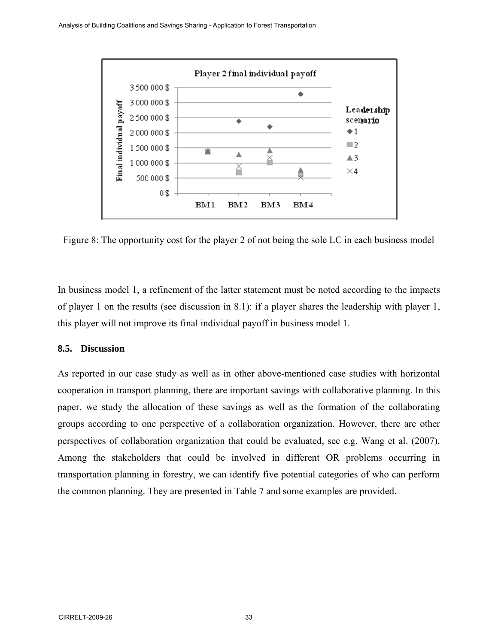

Figure 8: The opportunity cost for the player 2 of not being the sole LC in each business model

In business model 1, a refinement of the latter statement must be noted according to the impacts of player 1 on the results (see discussion in 8.1): if a player shares the leadership with player 1, this player will not improve its final individual payoff in business model 1.

# **8.5. Discussion**

As reported in our case study as well as in other above-mentioned case studies with horizontal cooperation in transport planning, there are important savings with collaborative planning. In this paper, we study the allocation of these savings as well as the formation of the collaborating groups according to one perspective of a collaboration organization. However, there are other perspectives of collaboration organization that could be evaluated, see e.g. Wang et al. (2007). Among the stakeholders that could be involved in different OR problems occurring in transportation planning in forestry, we can identify five potential categories of who can perform the common planning. They are presented in Table 7 and some examples are provided.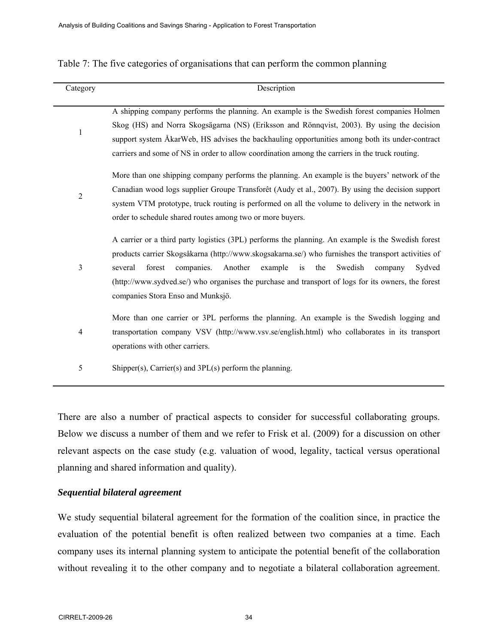|  |  | Table 7: The five categories of organisations that can perform the common planning |  |  |  |
|--|--|------------------------------------------------------------------------------------|--|--|--|
|  |  |                                                                                    |  |  |  |

| Category       | Description                                                                                                                                                                                                                                                                                                                                                                                                                                                 |  |  |  |  |  |  |  |
|----------------|-------------------------------------------------------------------------------------------------------------------------------------------------------------------------------------------------------------------------------------------------------------------------------------------------------------------------------------------------------------------------------------------------------------------------------------------------------------|--|--|--|--|--|--|--|
| $\mathbf{1}$   | A shipping company performs the planning. An example is the Swedish forest companies Holmen<br>Skog (HS) and Norra Skogsägarna (NS) (Eriksson and Rönnqvist, 2003). By using the decision<br>support system ÅkarWeb, HS advises the backhauling opportunities among both its under-contract<br>carriers and some of NS in order to allow coordination among the carriers in the truck routing.                                                              |  |  |  |  |  |  |  |
| $\overline{2}$ | More than one shipping company performs the planning. An example is the buyers' network of the<br>Canadian wood logs supplier Groupe Transforêt (Audy et al., 2007). By using the decision support<br>system VTM prototype, truck routing is performed on all the volume to delivery in the network in<br>order to schedule shared routes among two or more buyers.                                                                                         |  |  |  |  |  |  |  |
| $\mathfrak{Z}$ | A carrier or a third party logistics (3PL) performs the planning. An example is the Swedish forest<br>products carrier Skogsåkarna (http://www.skogsakarna.se/) who furnishes the transport activities of<br>Another<br>Swedish<br>several<br>forest<br>companies.<br>example<br>is<br>the<br>Sydved<br>company<br>(http://www.sydved.se/) who organises the purchase and transport of logs for its owners, the forest<br>companies Stora Enso and Munksjö. |  |  |  |  |  |  |  |
| 4              | More than one carrier or 3PL performs the planning. An example is the Swedish logging and<br>transportation company VSV (http://www.vsv.se/english.html) who collaborates in its transport<br>operations with other carriers.                                                                                                                                                                                                                               |  |  |  |  |  |  |  |
| 5              | Shipper(s), Carrier(s) and $3PL(s)$ perform the planning.                                                                                                                                                                                                                                                                                                                                                                                                   |  |  |  |  |  |  |  |

There are also a number of practical aspects to consider for successful collaborating groups. Below we discuss a number of them and we refer to Frisk et al. (2009) for a discussion on other relevant aspects on the case study (e.g. valuation of wood, legality, tactical versus operational planning and shared information and quality).

# *Sequential bilateral agreement*

We study sequential bilateral agreement for the formation of the coalition since, in practice the evaluation of the potential benefit is often realized between two companies at a time. Each company uses its internal planning system to anticipate the potential benefit of the collaboration without revealing it to the other company and to negotiate a bilateral collaboration agreement.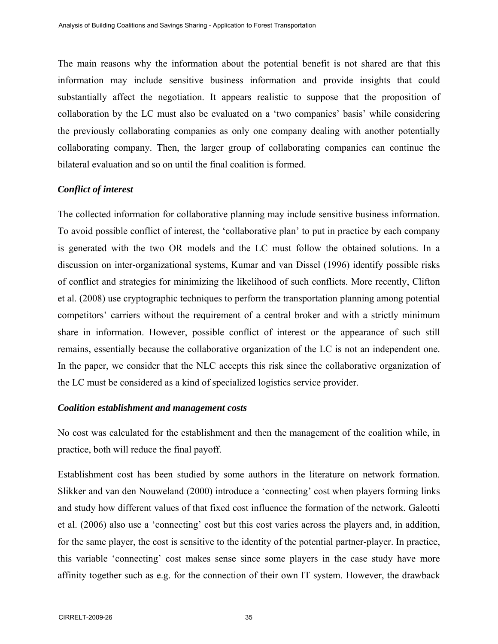The main reasons why the information about the potential benefit is not shared are that this information may include sensitive business information and provide insights that could substantially affect the negotiation. It appears realistic to suppose that the proposition of collaboration by the LC must also be evaluated on a 'two companies' basis' while considering the previously collaborating companies as only one company dealing with another potentially collaborating company. Then, the larger group of collaborating companies can continue the bilateral evaluation and so on until the final coalition is formed.

# *Conflict of interest*

The collected information for collaborative planning may include sensitive business information. To avoid possible conflict of interest, the 'collaborative plan' to put in practice by each company is generated with the two OR models and the LC must follow the obtained solutions. In a discussion on inter-organizational systems, Kumar and van Dissel (1996) identify possible risks of conflict and strategies for minimizing the likelihood of such conflicts. More recently, Clifton et al. (2008) use cryptographic techniques to perform the transportation planning among potential competitors' carriers without the requirement of a central broker and with a strictly minimum share in information. However, possible conflict of interest or the appearance of such still remains, essentially because the collaborative organization of the LC is not an independent one. In the paper, we consider that the NLC accepts this risk since the collaborative organization of the LC must be considered as a kind of specialized logistics service provider.

#### *Coalition establishment and management costs*

No cost was calculated for the establishment and then the management of the coalition while, in practice, both will reduce the final payoff.

Establishment cost has been studied by some authors in the literature on network formation. Slikker and van den Nouweland (2000) introduce a 'connecting' cost when players forming links and study how different values of that fixed cost influence the formation of the network. Galeotti et al. (2006) also use a 'connecting' cost but this cost varies across the players and, in addition, for the same player, the cost is sensitive to the identity of the potential partner-player. In practice, this variable 'connecting' cost makes sense since some players in the case study have more affinity together such as e.g. for the connection of their own IT system. However, the drawback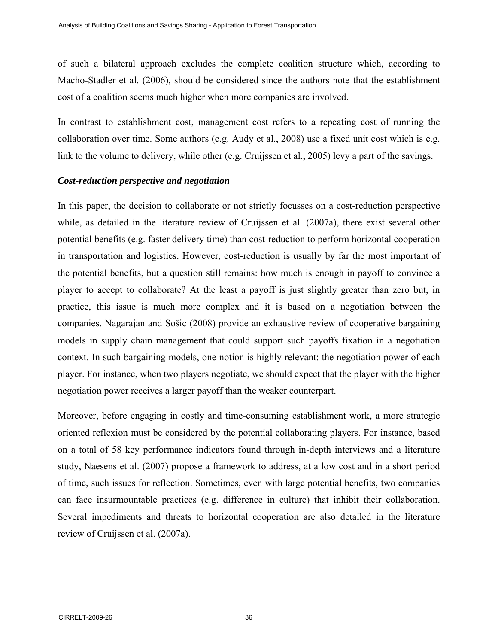of such a bilateral approach excludes the complete coalition structure which, according to Macho-Stadler et al. (2006), should be considered since the authors note that the establishment cost of a coalition seems much higher when more companies are involved.

In contrast to establishment cost, management cost refers to a repeating cost of running the collaboration over time. Some authors (e.g. Audy et al., 2008) use a fixed unit cost which is e.g. link to the volume to delivery, while other (e.g. Cruijssen et al., 2005) levy a part of the savings.

#### *Cost-reduction perspective and negotiation*

In this paper, the decision to collaborate or not strictly focusses on a cost-reduction perspective while, as detailed in the literature review of Cruijssen et al. (2007a), there exist several other potential benefits (e.g. faster delivery time) than cost-reduction to perform horizontal cooperation in transportation and logistics. However, cost-reduction is usually by far the most important of the potential benefits, but a question still remains: how much is enough in payoff to convince a player to accept to collaborate? At the least a payoff is just slightly greater than zero but, in practice, this issue is much more complex and it is based on a negotiation between the companies. Nagarajan and Sošic (2008) provide an exhaustive review of cooperative bargaining models in supply chain management that could support such payoffs fixation in a negotiation context. In such bargaining models, one notion is highly relevant: the negotiation power of each player. For instance, when two players negotiate, we should expect that the player with the higher negotiation power receives a larger payoff than the weaker counterpart.

Moreover, before engaging in costly and time-consuming establishment work, a more strategic oriented reflexion must be considered by the potential collaborating players. For instance, based on a total of 58 key performance indicators found through in-depth interviews and a literature study, Naesens et al. (2007) propose a framework to address, at a low cost and in a short period of time, such issues for reflection. Sometimes, even with large potential benefits, two companies can face insurmountable practices (e.g. difference in culture) that inhibit their collaboration. Several impediments and threats to horizontal cooperation are also detailed in the literature review of Cruijssen et al. (2007a).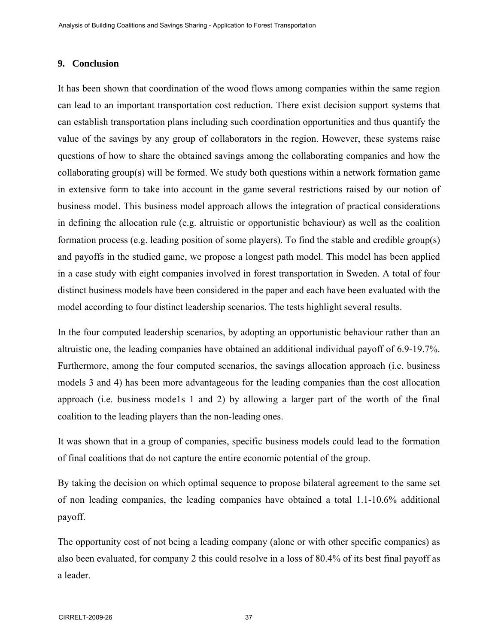#### **9. Conclusion**

It has been shown that coordination of the wood flows among companies within the same region can lead to an important transportation cost reduction. There exist decision support systems that can establish transportation plans including such coordination opportunities and thus quantify the value of the savings by any group of collaborators in the region. However, these systems raise questions of how to share the obtained savings among the collaborating companies and how the collaborating group(s) will be formed. We study both questions within a network formation game in extensive form to take into account in the game several restrictions raised by our notion of business model. This business model approach allows the integration of practical considerations in defining the allocation rule (e.g. altruistic or opportunistic behaviour) as well as the coalition formation process (e.g. leading position of some players). To find the stable and credible group(s) and payoffs in the studied game, we propose a longest path model. This model has been applied in a case study with eight companies involved in forest transportation in Sweden. A total of four distinct business models have been considered in the paper and each have been evaluated with the model according to four distinct leadership scenarios. The tests highlight several results.

In the four computed leadership scenarios, by adopting an opportunistic behaviour rather than an altruistic one, the leading companies have obtained an additional individual payoff of 6.9-19.7%. Furthermore, among the four computed scenarios, the savings allocation approach (i.e. business models 3 and 4) has been more advantageous for the leading companies than the cost allocation approach (i.e. business mode1s 1 and 2) by allowing a larger part of the worth of the final coalition to the leading players than the non-leading ones.

It was shown that in a group of companies, specific business models could lead to the formation of final coalitions that do not capture the entire economic potential of the group.

By taking the decision on which optimal sequence to propose bilateral agreement to the same set of non leading companies, the leading companies have obtained a total 1.1-10.6% additional payoff.

The opportunity cost of not being a leading company (alone or with other specific companies) as also been evaluated, for company 2 this could resolve in a loss of 80.4% of its best final payoff as a leader.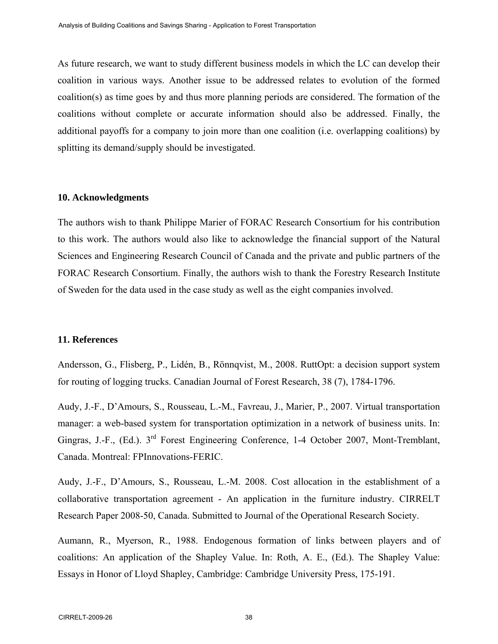As future research, we want to study different business models in which the LC can develop their coalition in various ways. Another issue to be addressed relates to evolution of the formed coalition(s) as time goes by and thus more planning periods are considered. The formation of the coalitions without complete or accurate information should also be addressed. Finally, the additional payoffs for a company to join more than one coalition (i.e. overlapping coalitions) by splitting its demand/supply should be investigated.

#### **10. Acknowledgments**

The authors wish to thank Philippe Marier of FORAC Research Consortium for his contribution to this work. The authors would also like to acknowledge the financial support of the Natural Sciences and Engineering Research Council of Canada and the private and public partners of the FORAC Research Consortium. Finally, the authors wish to thank the Forestry Research Institute of Sweden for the data used in the case study as well as the eight companies involved.

# **11. References**

Andersson, G., Flisberg, P., Lidén, B., Rönnqvist, M., 2008. RuttOpt: a decision support system for routing of logging trucks. Canadian Journal of Forest Research, 38 (7), 1784-1796.

Audy, J.-F., D'Amours, S., Rousseau, L.-M., Favreau, J., Marier, P., 2007. Virtual transportation manager: a web-based system for transportation optimization in a network of business units. In: Gingras, J.-F., (Ed.). 3<sup>rd</sup> Forest Engineering Conference, 1-4 October 2007, Mont-Tremblant, Canada. Montreal: FPInnovations-FERIC.

Audy, J.-F., D'Amours, S., Rousseau, L.-M. 2008. Cost allocation in the establishment of a collaborative transportation agreement - An application in the furniture industry. CIRRELT Research Paper 2008-50, Canada. Submitted to Journal of the Operational Research Society.

Aumann, R., Myerson, R., 1988. Endogenous formation of links between players and of coalitions: An application of the Shapley Value. In: Roth, A. E., (Ed.). The Shapley Value: Essays in Honor of Lloyd Shapley, Cambridge: Cambridge University Press, 175-191.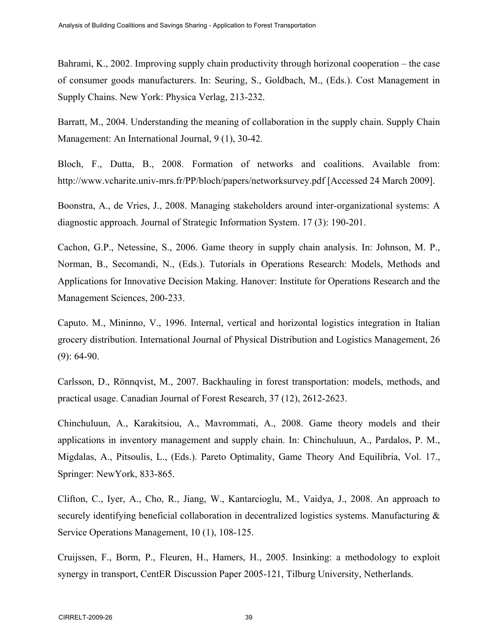Bahrami, K., 2002. Improving supply chain productivity through horizonal cooperation – the case of consumer goods manufacturers. In: Seuring, S., Goldbach, M., (Eds.). Cost Management in Supply Chains. New York: Physica Verlag, 213-232.

Barratt, M., 2004. Understanding the meaning of collaboration in the supply chain. Supply Chain Management: An International Journal, 9 (1), 30-42.

Bloch, F., Dutta, B., 2008. Formation of networks and coalitions. Available from: http://www.vcharite.univ-mrs.fr/PP/bloch/papers/networksurvey.pdf [Accessed 24 March 2009].

Boonstra, A., de Vries, J., 2008. Managing stakeholders around inter-organizational systems: A diagnostic approach. Journal of Strategic Information System. 17 (3): 190-201.

Cachon, G.P., Netessine, S., 2006. Game theory in supply chain analysis. In: Johnson, M. P., Norman, B., Secomandi, N., (Eds.). Tutorials in Operations Research: Models, Methods and Applications for Innovative Decision Making. Hanover: Institute for Operations Research and the Management Sciences, 200-233.

Caputo. M., Mininno, V., 1996. Internal, vertical and horizontal logistics integration in Italian grocery distribution. International Journal of Physical Distribution and Logistics Management, 26  $(9)$ : 64-90.

Carlsson, D., Rönnqvist, M., 2007. Backhauling in forest transportation: models, methods, and practical usage. Canadian Journal of Forest Research, 37 (12), 2612-2623.

Chinchuluun, A., Karakitsiou, A., Mavrommati, A., 2008. Game theory models and their applications in inventory management and supply chain. In: Chinchuluun, A., Pardalos, P. M., Migdalas, A., Pitsoulis, L., (Eds.). Pareto Optimality, Game Theory And Equilibria, Vol. 17., Springer: NewYork, 833-865.

Clifton, C., Iyer, A., Cho, R., Jiang, W., Kantarcioglu, M., Vaidya, J., 2008. An approach to securely identifying beneficial collaboration in decentralized logistics systems. Manufacturing & Service Operations Management, 10 (1), 108-125.

Cruijssen, F., Borm, P., Fleuren, H., Hamers, H., 2005. Insinking: a methodology to exploit synergy in transport, CentER Discussion Paper 2005-121, Tilburg University, Netherlands.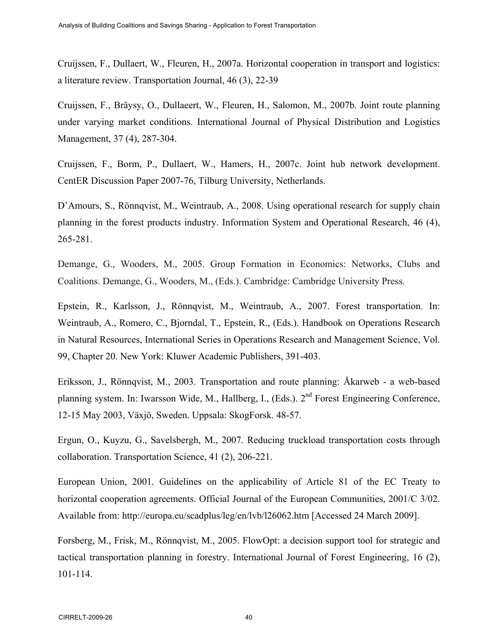Cruijssen, F., Dullaert, W., Fleuren, H., 2007a. Horizontal cooperation in transport and logistics: a literature review. Transportation Journal, 46 (3), 22-39

Cruijssen, F., Bräysy, O., Dullaeert, W., Fleuren, H., Salomon, M., 2007b. Joint route planning under varying market conditions. International Journal of Physical Distribution and Logistics Management, 37 (4), 287-304.

Cruijssen, F., Borm, P., Dullaert, W., Hamers, H., 2007c. Joint hub network development. CentER Discussion Paper 2007-76, Tilburg University, Netherlands.

D'Amours, S., Rönnqvist, M., Weintraub, A., 2008. Using operational research for supply chain planning in the forest products industry. Information System and Operational Research, 46 (4), 265-281.

Demange, G., Wooders, M., 2005. Group Formation in Economics: Networks, Clubs and Coalitions. Demange, G., Wooders, M., (Eds.). Cambridge: Cambridge University Press.

Epstein, R., Karlsson, J., Rönnqvist, M., Weintraub, A., 2007. Forest transportation. In: Weintraub, A., Romero, C., Bjorndal, T., Epstein, R., (Eds.). Handbook on Operations Research in Natural Resources, International Series in Operations Research and Management Science, Vol. 99, Chapter 20. New York: Kluwer Academic Publishers, 391-403.

Eriksson, J., Rönnqvist, M., 2003. Transportation and route planning: Åkarweb - a web-based planning system. In: Iwarsson Wide, M., Hallberg, I., (Eds.). 2<sup>nd</sup> Forest Engineering Conference, 12-15 May 2003, Växjö, Sweden. Uppsala: SkogForsk. 48-57.

Ergun, O., Kuyzu, G., Savelsbergh, M., 2007. Reducing truckload transportation costs through collaboration. Transportation Science, 41 (2), 206-221.

European Union, 2001. Guidelines on the applicability of Article 81 of the EC Treaty to horizontal cooperation agreements. Official Journal of the European Communities, 2001/C 3/02. Available from: http://europa.eu/scadplus/leg/en/lvb/l26062.htm [Accessed 24 March 2009].

Forsberg, M., Frisk, M., Rönnqvist, M., 2005. FlowOpt: a decision support tool for strategic and tactical transportation planning in forestry. International Journal of Forest Engineering, 16 (2), 101-114.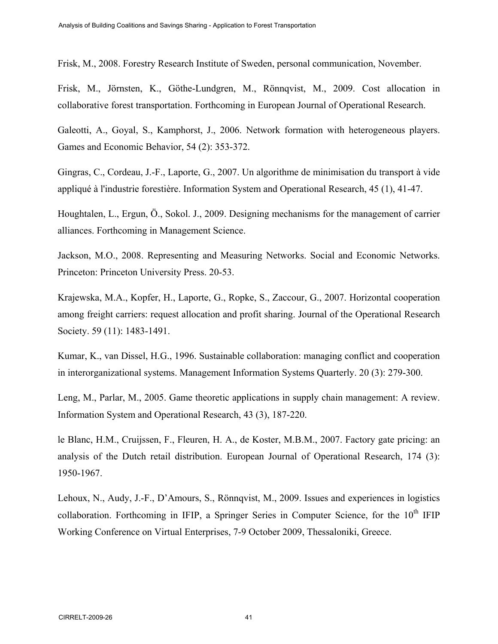Frisk, M., 2008. Forestry Research Institute of Sweden, personal communication, November.

Frisk, M., Jörnsten, K., Göthe-Lundgren, M., Rönnqvist, M., 2009. Cost allocation in collaborative forest transportation. Forthcoming in European Journal of Operational Research.

Galeotti, A., Goyal, S., Kamphorst, J., 2006. Network formation with heterogeneous players. Games and Economic Behavior, 54 (2): 353-372.

Gingras, C., Cordeau, J.-F., Laporte, G., 2007. Un algorithme de minimisation du transport à vide appliqué à l'industrie forestière. Information System and Operational Research, 45 (1), 41-47.

Houghtalen, L., Ergun, Ö., Sokol. J., 2009. Designing mechanisms for the management of carrier alliances. Forthcoming in Management Science.

Jackson, M.O., 2008. Representing and Measuring Networks. Social and Economic Networks. Princeton: Princeton University Press. 20-53.

Krajewska, M.A., Kopfer, H., Laporte, G., Ropke, S., Zaccour, G., 2007. Horizontal cooperation among freight carriers: request allocation and profit sharing. Journal of the Operational Research Society. 59 (11): 1483-1491.

Kumar, K., van Dissel, H.G., 1996. Sustainable collaboration: managing conflict and cooperation in interorganizational systems. Management Information Systems Quarterly. 20 (3): 279-300.

Leng, M., Parlar, M., 2005. Game theoretic applications in supply chain management: A review. Information System and Operational Research, 43 (3), 187-220.

le Blanc, H.M., Cruijssen, F., Fleuren, H. A., de Koster, M.B.M., 2007. Factory gate pricing: an analysis of the Dutch retail distribution. European Journal of Operational Research, 174 (3): 1950-1967.

Lehoux, N., Audy, J.-F., D'Amours, S., Rönnqvist, M., 2009. Issues and experiences in logistics collaboration. Forthcoming in IFIP, a Springer Series in Computer Science, for the 10<sup>th</sup> IFIP Working Conference on Virtual Enterprises, 7-9 October 2009, Thessaloniki, Greece.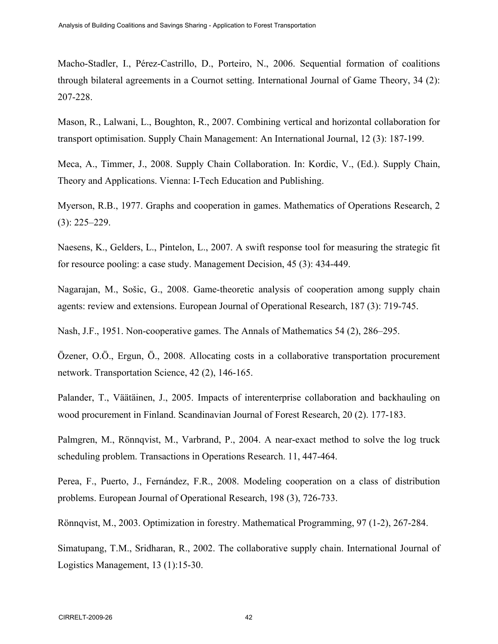Macho-Stadler, I., Pérez-Castrillo, D., Porteiro, N., 2006. Sequential formation of coalitions through bilateral agreements in a Cournot setting. International Journal of Game Theory, 34 (2): 207-228.

Mason, R., Lalwani, L., Boughton, R., 2007. Combining vertical and horizontal collaboration for transport optimisation. Supply Chain Management: An International Journal, 12 (3): 187-199.

Meca, A., Timmer, J., 2008. Supply Chain Collaboration. In: Kordic, V., (Ed.). Supply Chain, Theory and Applications. Vienna: I-Tech Education and Publishing.

Myerson, R.B., 1977. Graphs and cooperation in games. Mathematics of Operations Research, 2 (3): 225–229.

Naesens, K., Gelders, L., Pintelon, L., 2007. A swift response tool for measuring the strategic fit for resource pooling: a case study. Management Decision, 45 (3): 434-449.

Nagarajan, M., Sošic, G., 2008. Game-theoretic analysis of cooperation among supply chain agents: review and extensions. European Journal of Operational Research, 187 (3): 719-745.

Nash, J.F., 1951. Non-cooperative games. The Annals of Mathematics 54 (2), 286–295.

Özener, O.Ö., Ergun, Ö., 2008. Allocating costs in a collaborative transportation procurement network. Transportation Science, 42 (2), 146-165.

Palander, T., Väätäinen, J., 2005. Impacts of interenterprise collaboration and backhauling on wood procurement in Finland. Scandinavian Journal of Forest Research, 20 (2). 177-183.

Palmgren, M., Rönnqvist, M., Varbrand, P., 2004. A near-exact method to solve the log truck scheduling problem. Transactions in Operations Research. 11, 447-464.

Perea, F., Puerto, J., Fernández, F.R., 2008. Modeling cooperation on a class of distribution problems. European Journal of Operational Research, 198 (3), 726-733.

Rönnqvist, M., 2003. Optimization in forestry. Mathematical Programming, 97 (1-2), 267-284.

Simatupang, T.M., Sridharan, R., 2002. The collaborative supply chain. International Journal of Logistics Management, 13 (1):15-30.